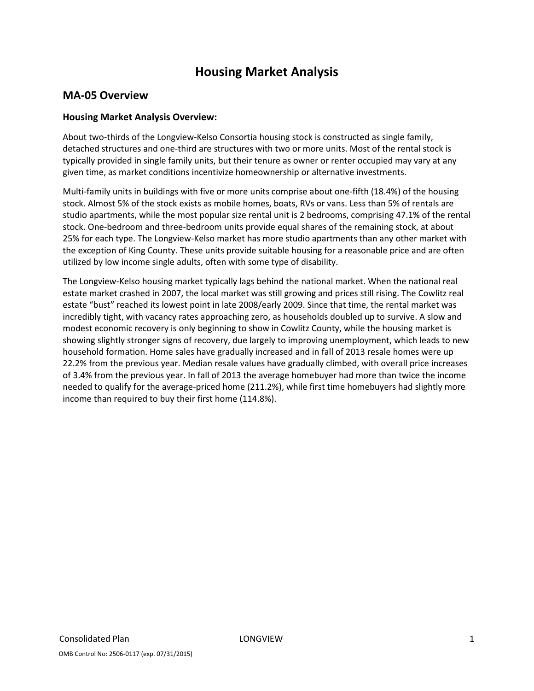# Housing Market Analysis

## MA-05 Overview

## Housing Market Analysis Overview:

About two-thirds of the Longview-Kelso Consortia housing stock is constructed as single family, detached structures and one-third are structures with two or more units. Most of the rental stock is typically provided in single family units, but their tenure as owner or renter occupied may vary at any given time, as market conditions incentivize homeownership or alternative investments.

Multi-family units in buildings with five or more units comprise about one-fifth (18.4%) of the housing stock. Almost 5% of the stock exists as mobile homes, boats, RVs or vans. Less than 5% of rentals are studio apartments, while the most popular size rental unit is 2 bedrooms, comprising 47.1% of the rental stock. One-bedroom and three-bedroom units provide equal shares of the remaining stock, at about 25% for each type. The Longview-Kelso market has more studio apartments than any other market with the exception of King County. These units provide suitable housing for a reasonable price and are often utilized by low income single adults, often with some type of disability.

The Longview-Kelso housing market typically lags behind the national market. When the national real estate market crashed in 2007, the local market was still growing and prices still rising. The Cowlitz real estate "bust" reached its lowest point in late 2008/early 2009. Since that time, the rental market was incredibly tight, with vacancy rates approaching zero, as households doubled up to survive. A slow and modest economic recovery is only beginning to show in Cowlitz County, while the housing market is showing slightly stronger signs of recovery, due largely to improving unemployment, which leads to new household formation. Home sales have gradually increased and in fall of 2013 resale homes were up 22.2% from the previous year. Median resale values have gradually climbed, with overall price increases of 3.4% from the previous year. In fall of 2013 the average homebuyer had more than twice the income needed to qualify for the average-priced home (211.2%), while first time homebuyers had slightly more income than required to buy their first home (114.8%).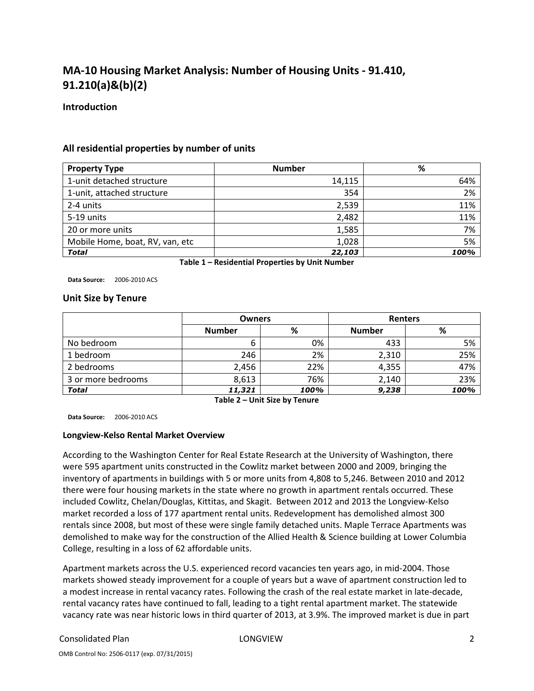# MA-10 Housing Market Analysis: Number of Housing Units - 91.410, 91.210(a)&(b)(2)

#### **Introduction**

#### All residential properties by number of units

| <b>Property Type</b>            | <b>Number</b> | %    |
|---------------------------------|---------------|------|
| 1-unit detached structure       | 14,115        | 64%  |
| 1-unit, attached structure      | 354           | 2%   |
| 2-4 units                       | 2,539         | 11%  |
| 5-19 units                      | 2,482         | 11%  |
| 20 or more units                | 1,585         | 7%   |
| Mobile Home, boat, RV, van, etc | 1,028         | 5%   |
| <b>Total</b>                    | 22,103        | 100% |

Table 1 – Residential Properties by Unit Number

Data Source: 2006-2010 ACS

#### Unit Size by Tenure

|                    | <b>Owners</b> |      | <b>Renters</b> |      |  |  |
|--------------------|---------------|------|----------------|------|--|--|
|                    | <b>Number</b> | %    | <b>Number</b>  | %    |  |  |
| No bedroom         | 6             | 0%   | 433            | 5%   |  |  |
| 1 bedroom          | 246           | 2%   | 2,310          | 25%  |  |  |
| 2 bedrooms         | 2,456         | 22%  | 4,355          | 47%  |  |  |
| 3 or more bedrooms | 8,613         | 76%  | 2,140          | 23%  |  |  |
| <b>Total</b>       | 11,321        | 100% | 9,238          | 100% |  |  |

Table 2 – Unit Size by Tenure

Data Source: 2006-2010 ACS

#### Longview-Kelso Rental Market Overview

According to the Washington Center for Real Estate Research at the University of Washington, there were 595 apartment units constructed in the Cowlitz market between 2000 and 2009, bringing the inventory of apartments in buildings with 5 or more units from 4,808 to 5,246. Between 2010 and 2012 there were four housing markets in the state where no growth in apartment rentals occurred. These included Cowlitz, Chelan/Douglas, Kittitas, and Skagit. Between 2012 and 2013 the Longview-Kelso market recorded a loss of 177 apartment rental units. Redevelopment has demolished almost 300 rentals since 2008, but most of these were single family detached units. Maple Terrace Apartments was demolished to make way for the construction of the Allied Health & Science building at Lower Columbia College, resulting in a loss of 62 affordable units.

Apartment markets across the U.S. experienced record vacancies ten years ago, in mid-2004. Those markets showed steady improvement for a couple of years but a wave of apartment construction led to a modest increase in rental vacancy rates. Following the crash of the real estate market in late-decade, rental vacancy rates have continued to fall, leading to a tight rental apartment market. The statewide vacancy rate was near historic lows in third quarter of 2013, at 3.9%. The improved market is due in part

#### Consolidated Plan LONGVIEW 2

OMB Control No: 2506-0117 (exp. 07/31/2015)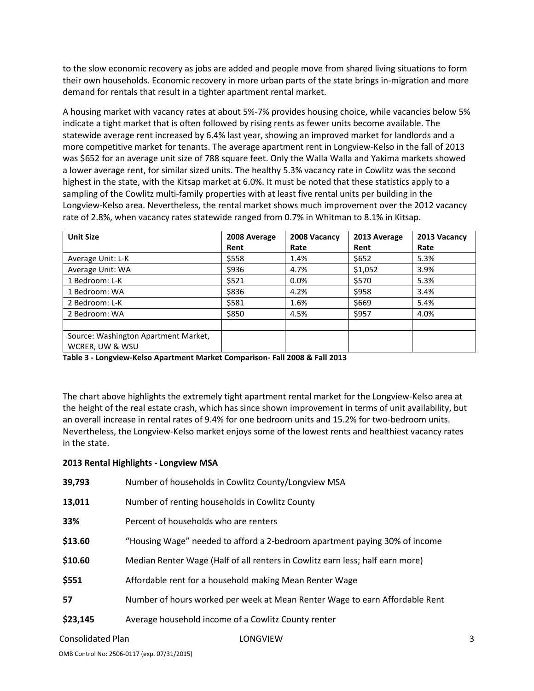to the slow economic recovery as jobs are added and people move from shared living situations to form their own households. Economic recovery in more urban parts of the state brings in-migration and more demand for rentals that result in a tighter apartment rental market.

A housing market with vacancy rates at about 5%-7% provides housing choice, while vacancies below 5% indicate a tight market that is often followed by rising rents as fewer units become available. The statewide average rent increased by 6.4% last year, showing an improved market for landlords and a more competitive market for tenants. The average apartment rent in Longview-Kelso in the fall of 2013 was \$652 for an average unit size of 788 square feet. Only the Walla Walla and Yakima markets showed a lower average rent, for similar sized units. The healthy 5.3% vacancy rate in Cowlitz was the second highest in the state, with the Kitsap market at 6.0%. It must be noted that these statistics apply to a sampling of the Cowlitz multi-family properties with at least five rental units per building in the Longview-Kelso area. Nevertheless, the rental market shows much improvement over the 2012 vacancy rate of 2.8%, when vacancy rates statewide ranged from 0.7% in Whitman to 8.1% in Kitsap.

| <b>Unit Size</b>                     | 2008 Average | 2008 Vacancy | 2013 Average | 2013 Vacancy |
|--------------------------------------|--------------|--------------|--------------|--------------|
|                                      | Rent         | Rate         | Rent         | Rate         |
| Average Unit: L-K                    | \$558        | 1.4%         | \$652        | 5.3%         |
| Average Unit: WA                     | \$936        | 4.7%         | \$1,052      | 3.9%         |
| 1 Bedroom: L-K                       | \$521        | $0.0\%$      | \$570        | 5.3%         |
| 1 Bedroom: WA                        | \$836        | 4.2%         | \$958        | 3.4%         |
| 2 Bedroom: L-K                       | \$581        | 1.6%         | \$669        | 5.4%         |
| 2 Bedroom: WA                        | \$850        | 4.5%         | \$957        | 4.0%         |
|                                      |              |              |              |              |
| Source: Washington Apartment Market, |              |              |              |              |
| WCRER, UW & WSU                      |              |              |              |              |

Table 3 - Longview-Kelso Apartment Market Comparison- Fall 2008 & Fall 2013

The chart above highlights the extremely tight apartment rental market for the Longview-Kelso area at the height of the real estate crash, which has since shown improvement in terms of unit availability, but an overall increase in rental rates of 9.4% for one bedroom units and 15.2% for two-bedroom units. Nevertheless, the Longview-Kelso market enjoys some of the lowest rents and healthiest vacancy rates in the state.

#### 2013 Rental Highlights - Longview MSA

| 39,793   | Number of households in Cowlitz County/Longview MSA                           |
|----------|-------------------------------------------------------------------------------|
| 13,011   | Number of renting households in Cowlitz County                                |
| 33%      | Percent of households who are renters                                         |
| \$13.60  | "Housing Wage" needed to afford a 2-bedroom apartment paying 30% of income    |
| \$10.60  | Median Renter Wage (Half of all renters in Cowlitz earn less; half earn more) |
| \$551    | Affordable rent for a household making Mean Renter Wage                       |
| 57       | Number of hours worked per week at Mean Renter Wage to earn Affordable Rent   |
| \$23,145 | Average household income of a Cowlitz County renter                           |
|          |                                                                               |

Consolidated Plan 3 and 2008 Consolidated Plan 3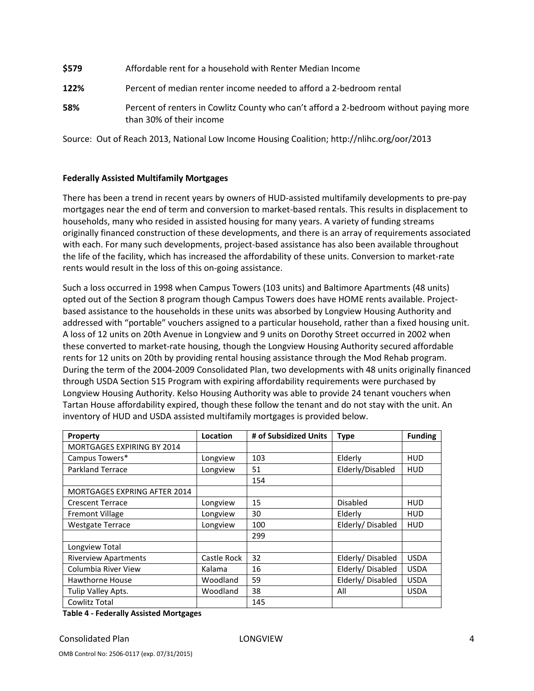| \$579 | Affordable rent for a household with Renter Median Income                                                         |
|-------|-------------------------------------------------------------------------------------------------------------------|
| 122%  | Percent of median renter income needed to afford a 2-bedroom rental                                               |
| 58%   | Percent of renters in Cowlitz County who can't afford a 2-bedroom without paying more<br>than 30% of their income |

Source: Out of Reach 2013, National Low Income Housing Coalition; http://nlihc.org/oor/2013

#### Federally Assisted Multifamily Mortgages

There has been a trend in recent years by owners of HUD-assisted multifamily developments to pre-pay mortgages near the end of term and conversion to market-based rentals. This results in displacement to households, many who resided in assisted housing for many years. A variety of funding streams originally financed construction of these developments, and there is an array of requirements associated with each. For many such developments, project-based assistance has also been available throughout the life of the facility, which has increased the affordability of these units. Conversion to market-rate rents would result in the loss of this on-going assistance.

Such a loss occurred in 1998 when Campus Towers (103 units) and Baltimore Apartments (48 units) opted out of the Section 8 program though Campus Towers does have HOME rents available. Projectbased assistance to the households in these units was absorbed by Longview Housing Authority and addressed with "portable" vouchers assigned to a particular household, rather than a fixed housing unit. A loss of 12 units on 20th Avenue in Longview and 9 units on Dorothy Street occurred in 2002 when these converted to market-rate housing, though the Longview Housing Authority secured affordable rents for 12 units on 20th by providing rental housing assistance through the Mod Rehab program. During the term of the 2004-2009 Consolidated Plan, two developments with 48 units originally financed through USDA Section 515 Program with expiring affordability requirements were purchased by Longview Housing Authority. Kelso Housing Authority was able to provide 24 tenant vouchers when Tartan House affordability expired, though these follow the tenant and do not stay with the unit. An inventory of HUD and USDA assisted multifamily mortgages is provided below.

| Property                            | Location    | # of Subsidized Units | <b>Type</b>      | <b>Funding</b> |
|-------------------------------------|-------------|-----------------------|------------------|----------------|
| <b>MORTGAGES EXPIRING BY 2014</b>   |             |                       |                  |                |
| Campus Towers*                      | Longview    | 103                   | Elderly          | HUD            |
| <b>Parkland Terrace</b>             | Longview    | 51                    | Elderly/Disabled | <b>HUD</b>     |
|                                     |             | 154                   |                  |                |
| <b>MORTGAGES EXPRING AFTER 2014</b> |             |                       |                  |                |
| <b>Crescent Terrace</b>             | Longview    | 15                    | Disabled         | HUD            |
| <b>Fremont Village</b>              | Longview    | 30                    | Elderly          | <b>HUD</b>     |
| <b>Westgate Terrace</b>             | Longview    | 100                   | Elderly/Disabled | <b>HUD</b>     |
|                                     |             | 299                   |                  |                |
| Longview Total                      |             |                       |                  |                |
| <b>Riverview Apartments</b>         | Castle Rock | 32                    | Elderly/Disabled | <b>USDA</b>    |
| Columbia River View                 | Kalama      | 16                    | Elderly/Disabled | <b>USDA</b>    |
| Hawthorne House                     | Woodland    | 59                    | Elderly/Disabled | <b>USDA</b>    |
| Tulip Valley Apts.                  | Woodland    | 38                    | All              | <b>USDA</b>    |
| Cowlitz Total                       |             | 145                   |                  |                |

Table 4 - Federally Assisted Mortgages

Consolidated Plan and American Consolidated Plan and American LONGVIEW 4 and 4 and 4 and 4 and 4 and 4 and 4 and 4 and 4 and 4 and 4 and 4 and 4 and 4 and 4 and 4 and 4 and 4 and 4 and 4 and 4 and 4 and 4 and 4 and 4 and 4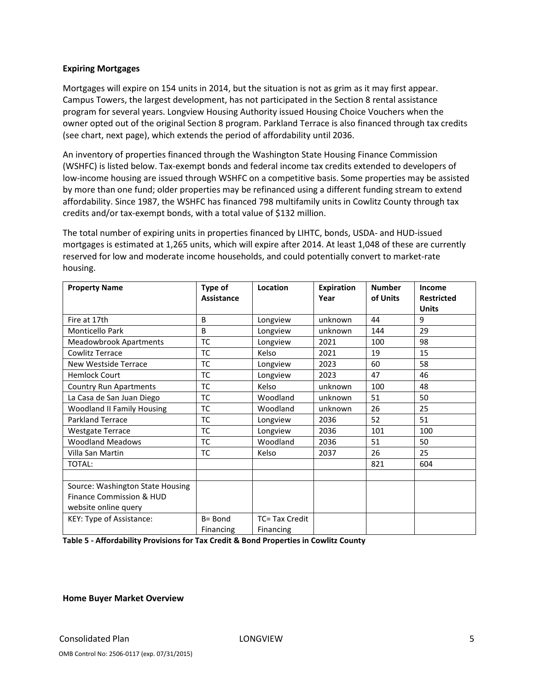#### Expiring Mortgages

Mortgages will expire on 154 units in 2014, but the situation is not as grim as it may first appear. Campus Towers, the largest development, has not participated in the Section 8 rental assistance program for several years. Longview Housing Authority issued Housing Choice Vouchers when the owner opted out of the original Section 8 program. Parkland Terrace is also financed through tax credits (see chart, next page), which extends the period of affordability until 2036.

An inventory of properties financed through the Washington State Housing Finance Commission (WSHFC) is listed below. Tax-exempt bonds and federal income tax credits extended to developers of low-income housing are issued through WSHFC on a competitive basis. Some properties may be assisted by more than one fund; older properties may be refinanced using a different funding stream to extend affordability. Since 1987, the WSHFC has financed 798 multifamily units in Cowlitz County through tax credits and/or tax-exempt bonds, with a total value of \$132 million.

The total number of expiring units in properties financed by LIHTC, bonds, USDA- and HUD-issued mortgages is estimated at 1,265 units, which will expire after 2014. At least 1,048 of these are currently reserved for low and moderate income households, and could potentially convert to market-rate housing.

| <b>Property Name</b>              | Type of      | Location       | Expiration | <b>Number</b> | Income            |
|-----------------------------------|--------------|----------------|------------|---------------|-------------------|
|                                   | Assistance   |                | Year       | of Units      | <b>Restricted</b> |
|                                   |              |                |            |               | <b>Units</b>      |
| Fire at 17th                      | B            | Longview       | unknown    | 44            | 9                 |
| <b>Monticello Park</b>            | <sub>B</sub> | Longview       | unknown    | 144           | 29                |
| <b>Meadowbrook Apartments</b>     | TC           | Longview       | 2021       | 100           | 98                |
| Cowlitz Terrace                   | TC           | Kelso          | 2021       | 19            | 15                |
| <b>New Westside Terrace</b>       | ТC           | Longview       | 2023       | 60            | 58                |
| <b>Hemlock Court</b>              | TC           | Longview       | 2023       | 47            | 46                |
| <b>Country Run Apartments</b>     | ТC           | Kelso          | unknown    | 100           | 48                |
| La Casa de San Juan Diego         | TC           | Woodland       | unknown    | 51            | 50                |
| <b>Woodland II Family Housing</b> | ТC           | Woodland       | unknown    | 26            | 25                |
| <b>Parkland Terrace</b>           | ТC           | Longview       | 2036       | 52            | 51                |
| <b>Westgate Terrace</b>           | <b>TC</b>    | Longview       | 2036       | 101           | 100               |
| <b>Woodland Meadows</b>           | ТC           | Woodland       | 2036       | 51            | 50                |
| Villa San Martin                  | ТC           | Kelso          | 2037       | 26            | 25                |
| TOTAL:                            |              |                |            | 821           | 604               |
|                                   |              |                |            |               |                   |
| Source: Washington State Housing  |              |                |            |               |                   |
| Finance Commission & HUD          |              |                |            |               |                   |
| website online query              |              |                |            |               |                   |
| KEY: Type of Assistance:          | B= Bond      | TC= Tax Credit |            |               |                   |
|                                   | Financing    | Financing      |            |               |                   |

Table 5 - Affordability Provisions for Tax Credit & Bond Properties in Cowlitz County

Home Buyer Market Overview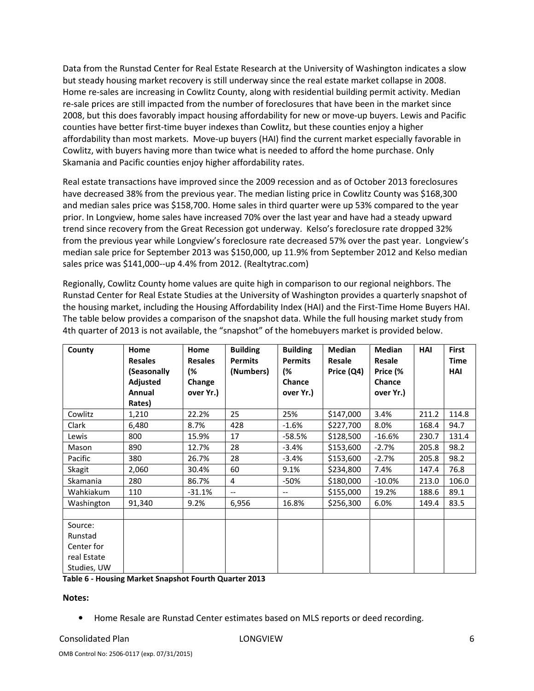Data from the Runstad Center for Real Estate Research at the University of Washington indicates a slow but steady housing market recovery is still underway since the real estate market collapse in 2008. Home re-sales are increasing in Cowlitz County, along with residential building permit activity. Median re-sale prices are still impacted from the number of foreclosures that have been in the market since 2008, but this does favorably impact housing affordability for new or move-up buyers. Lewis and Pacific counties have better first-time buyer indexes than Cowlitz, but these counties enjoy a higher affordability than most markets. Move-up buyers (HAI) find the current market especially favorable in Cowlitz, with buyers having more than twice what is needed to afford the home purchase. Only Skamania and Pacific counties enjoy higher affordability rates.

Real estate transactions have improved since the 2009 recession and as of October 2013 foreclosures have decreased 38% from the previous year. The median listing price in Cowlitz County was \$168,300 and median sales price was \$158,700. Home sales in third quarter were up 53% compared to the year prior. In Longview, home sales have increased 70% over the last year and have had a steady upward trend since recovery from the Great Recession got underway. Kelso's foreclosure rate dropped 32% from the previous year while Longview's foreclosure rate decreased 57% over the past year. Longview's median sale price for September 2013 was \$150,000, up 11.9% from September 2012 and Kelso median sales price was \$141,000--up 4.4% from 2012. (Realtytrac.com)

Regionally, Cowlitz County home values are quite high in comparison to our regional neighbors. The Runstad Center for Real Estate Studies at the University of Washington provides a quarterly snapshot of the housing market, including the Housing Affordability Index (HAI) and the First-Time Home Buyers HAI. The table below provides a comparison of the snapshot data. While the full housing market study from 4th quarter of 2013 is not available, the "snapshot" of the homebuyers market is provided below.

| County                                                         | Home<br><b>Resales</b><br>(Seasonally<br>Adjusted<br>Annual<br>Rates) | Home<br><b>Resales</b><br>(%<br>Change<br>over Yr.) | <b>Building</b><br><b>Permits</b><br>(Numbers) | <b>Building</b><br><b>Permits</b><br>(%<br>Chance<br>over Yr.) | <b>Median</b><br>Resale<br>Price (Q4) | <b>Median</b><br>Resale<br>Price (%<br>Chance<br>over Yr.) | <b>HAI</b> | <b>First</b><br><b>Time</b><br><b>HAI</b> |
|----------------------------------------------------------------|-----------------------------------------------------------------------|-----------------------------------------------------|------------------------------------------------|----------------------------------------------------------------|---------------------------------------|------------------------------------------------------------|------------|-------------------------------------------|
| Cowlitz                                                        | 1,210                                                                 | 22.2%                                               | 25                                             | 25%                                                            | \$147,000                             | 3.4%                                                       | 211.2      | 114.8                                     |
| Clark                                                          | 6,480                                                                 | 8.7%                                                | 428                                            | $-1.6%$                                                        | \$227,700                             | 8.0%                                                       | 168.4      | 94.7                                      |
| Lewis                                                          | 800                                                                   | 15.9%                                               | 17                                             | $-58.5%$                                                       | \$128,500                             | $-16.6%$                                                   | 230.7      | 131.4                                     |
| Mason                                                          | 890                                                                   | 12.7%                                               | 28                                             | $-3.4%$                                                        | \$153,600                             | $-2.7%$                                                    | 205.8      | 98.2                                      |
| Pacific                                                        | 380                                                                   | 26.7%                                               | 28                                             | $-3.4%$                                                        | \$153,600                             | $-2.7%$                                                    | 205.8      | 98.2                                      |
| Skagit                                                         | 2,060                                                                 | 30.4%                                               | 60                                             | 9.1%                                                           | \$234,800                             | 7.4%                                                       | 147.4      | 76.8                                      |
| <b>Skamania</b>                                                | 280                                                                   | 86.7%                                               | 4                                              | -50%                                                           | \$180,000                             | $-10.0%$                                                   | 213.0      | 106.0                                     |
| Wahkiakum                                                      | 110                                                                   | $-31.1%$                                            | $-$                                            | $\overline{\phantom{m}}$                                       | \$155,000                             | 19.2%                                                      | 188.6      | 89.1                                      |
| Washington                                                     | 91,340                                                                | 9.2%                                                | 6,956                                          | 16.8%                                                          | \$256,300                             | 6.0%                                                       | 149.4      | 83.5                                      |
| Source:<br>Runstad<br>Center for<br>real Estate<br>Studies, UW |                                                                       |                                                     |                                                |                                                                |                                       |                                                            |            |                                           |

#### Table 6 - Housing Market Snapshot Fourth Quarter 2013

#### Notes:

• Home Resale are Runstad Center estimates based on MLS reports or deed recording.

## Consolidated Plan 6 and 2008 Consolidated Plan 6 and 2008 Consolidated Plan 6 and 2008 Consolidated Plan 6 and 2008 Consolidated Plan 6 and 2008 Consolidated Plan 6 and 2008 Consolidated Plan 6 and 2008 Consolidated Plan 6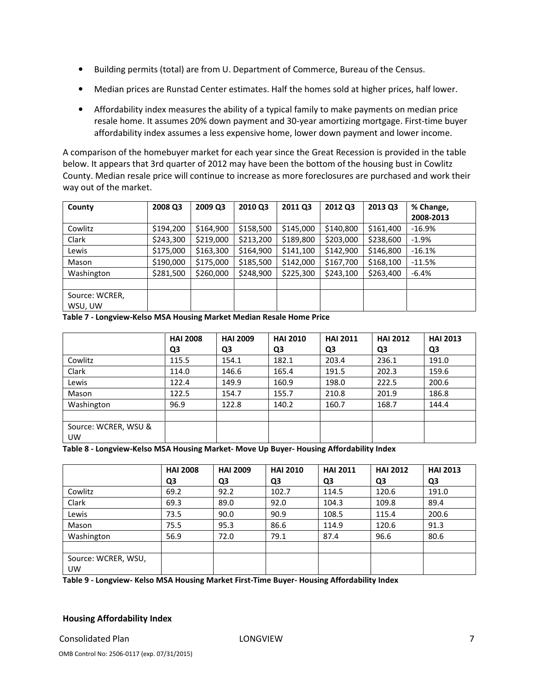- Building permits (total) are from U. Department of Commerce, Bureau of the Census.
- Median prices are Runstad Center estimates. Half the homes sold at higher prices, half lower.
- Affordability index measures the ability of a typical family to make payments on median price resale home. It assumes 20% down payment and 30-year amortizing mortgage. First-time buyer affordability index assumes a less expensive home, lower down payment and lower income.

A comparison of the homebuyer market for each year since the Great Recession is provided in the table below. It appears that 3rd quarter of 2012 may have been the bottom of the housing bust in Cowlitz County. Median resale price will continue to increase as more foreclosures are purchased and work their way out of the market.

| County         | 2008 Q3   | 2009 Q3   | 2010 Q3   | 2011 Q3   | 2012 Q3   | 2013 Q3   | % Change, |
|----------------|-----------|-----------|-----------|-----------|-----------|-----------|-----------|
|                |           |           |           |           |           |           | 2008-2013 |
| Cowlitz        | \$194,200 | \$164,900 | \$158,500 | \$145,000 | \$140,800 | \$161,400 | $-16.9%$  |
| Clark          | \$243,300 | \$219,000 | \$213,200 | \$189,800 | \$203,000 | \$238,600 | $-1.9%$   |
| Lewis          | \$175,000 | \$163,300 | \$164,900 | \$141,100 | \$142,900 | \$146,800 | $-16.1%$  |
| Mason          | \$190,000 | \$175,000 | \$185,500 | \$142,000 | \$167,700 | \$168,100 | $-11.5%$  |
| Washington     | \$281,500 | \$260,000 | \$248,900 | \$225,300 | \$243,100 | \$263,400 | $-6.4%$   |
|                |           |           |           |           |           |           |           |
| Source: WCRER, |           |           |           |           |           |           |           |
| WSU, UW        |           |           |           |           |           |           |           |

Table 7 - Longview-Kelso MSA Housing Market Median Resale Home Price

|                      | <b>HAI 2008</b> | <b>HAI 2009</b> | <b>HAI 2010</b> | <b>HAI 2011</b> | <b>HAI 2012</b> | <b>HAI 2013</b> |
|----------------------|-----------------|-----------------|-----------------|-----------------|-----------------|-----------------|
|                      | Q3              | Q3              | Q3              | Q3              | Q3              | Q3              |
| Cowlitz              | 115.5           | 154.1           | 182.1           | 203.4           | 236.1           | 191.0           |
| Clark                | 114.0           | 146.6           | 165.4           | 191.5           | 202.3           | 159.6           |
| Lewis                | 122.4           | 149.9           | 160.9           | 198.0           | 222.5           | 200.6           |
| Mason                | 122.5           | 154.7           | 155.7           | 210.8           | 201.9           | 186.8           |
| Washington           | 96.9            | 122.8           | 140.2           | 160.7           | 168.7           | 144.4           |
|                      |                 |                 |                 |                 |                 |                 |
| Source: WCRER, WSU & |                 |                 |                 |                 |                 |                 |
| <b>UW</b>            |                 |                 |                 |                 |                 |                 |

Table 8 - Longview-Kelso MSA Housing Market- Move Up Buyer- Housing Affordability Index

|                     | <b>HAI 2008</b> | <b>HAI 2009</b> | <b>HAI 2010</b> | <b>HAI 2011</b> | <b>HAI 2012</b> | <b>HAI 2013</b> |
|---------------------|-----------------|-----------------|-----------------|-----------------|-----------------|-----------------|
|                     | Q3              | Q3              | Q3              | Q3              | Q3              | Q3              |
| Cowlitz             | 69.2            | 92.2            | 102.7           | 114.5           | 120.6           | 191.0           |
| Clark               | 69.3            | 89.0            | 92.0            | 104.3           | 109.8           | 89.4            |
| Lewis               | 73.5            | 90.0            | 90.9            | 108.5           | 115.4           | 200.6           |
| Mason               | 75.5            | 95.3            | 86.6            | 114.9           | 120.6           | 91.3            |
| Washington          | 56.9            | 72.0            | 79.1            | 87.4            | 96.6            | 80.6            |
|                     |                 |                 |                 |                 |                 |                 |
| Source: WCRER, WSU, |                 |                 |                 |                 |                 |                 |
| <b>UW</b>           |                 |                 |                 |                 |                 |                 |

Table 9 - Longview- Kelso MSA Housing Market First-Time Buyer- Housing Affordability Index

#### Housing Affordability Index

Consolidated Plan **Consolidated Plan Consolidated Plan Consolidated Plan Consolidated Plan Consolidated Plan Consolidated Plan Consolidated Plan Consolidated Plan Consolidated Plan Consolidated Plan Consolidated Plan Conso**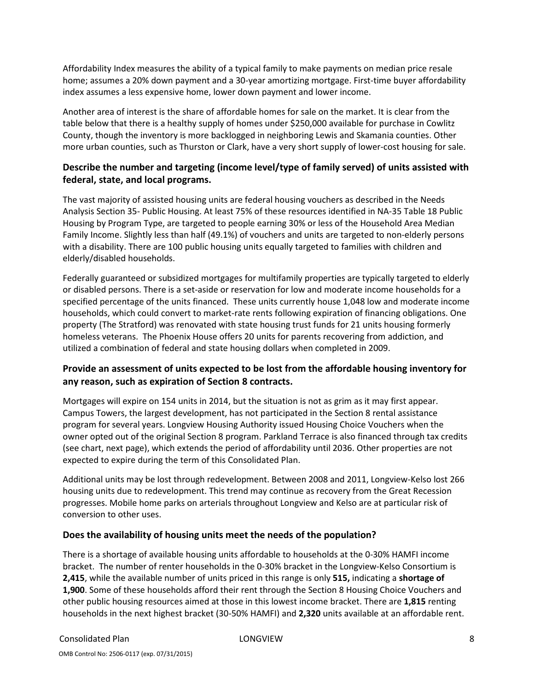Affordability Index measures the ability of a typical family to make payments on median price resale home; assumes a 20% down payment and a 30-year amortizing mortgage. First-time buyer affordability index assumes a less expensive home, lower down payment and lower income.

Another area of interest is the share of affordable homes for sale on the market. It is clear from the table below that there is a healthy supply of homes under \$250,000 available for purchase in Cowlitz County, though the inventory is more backlogged in neighboring Lewis and Skamania counties. Other more urban counties, such as Thurston or Clark, have a very short supply of lower-cost housing for sale.

## Describe the number and targeting (income level/type of family served) of units assisted with federal, state, and local programs.

The vast majority of assisted housing units are federal housing vouchers as described in the Needs Analysis Section 35- Public Housing. At least 75% of these resources identified in NA-35 Table 18 Public Housing by Program Type, are targeted to people earning 30% or less of the Household Area Median Family Income. Slightly less than half (49.1%) of vouchers and units are targeted to non-elderly persons with a disability. There are 100 public housing units equally targeted to families with children and elderly/disabled households.

Federally guaranteed or subsidized mortgages for multifamily properties are typically targeted to elderly or disabled persons. There is a set-aside or reservation for low and moderate income households for a specified percentage of the units financed. These units currently house 1,048 low and moderate income households, which could convert to market-rate rents following expiration of financing obligations. One property (The Stratford) was renovated with state housing trust funds for 21 units housing formerly homeless veterans. The Phoenix House offers 20 units for parents recovering from addiction, and utilized a combination of federal and state housing dollars when completed in 2009.

## Provide an assessment of units expected to be lost from the affordable housing inventory for any reason, such as expiration of Section 8 contracts.

Mortgages will expire on 154 units in 2014, but the situation is not as grim as it may first appear. Campus Towers, the largest development, has not participated in the Section 8 rental assistance program for several years. Longview Housing Authority issued Housing Choice Vouchers when the owner opted out of the original Section 8 program. Parkland Terrace is also financed through tax credits (see chart, next page), which extends the period of affordability until 2036. Other properties are not expected to expire during the term of this Consolidated Plan.

Additional units may be lost through redevelopment. Between 2008 and 2011, Longview-Kelso lost 266 housing units due to redevelopment. This trend may continue as recovery from the Great Recession progresses. Mobile home parks on arterials throughout Longview and Kelso are at particular risk of conversion to other uses.

## Does the availability of housing units meet the needs of the population?

There is a shortage of available housing units affordable to households at the 0-30% HAMFI income bracket. The number of renter households in the 0-30% bracket in the Longview-Kelso Consortium is 2,415, while the available number of units priced in this range is only 515, indicating a shortage of 1,900. Some of these households afford their rent through the Section 8 Housing Choice Vouchers and other public housing resources aimed at those in this lowest income bracket. There are 1,815 renting households in the next highest bracket (30-50% HAMFI) and 2,320 units available at an affordable rent.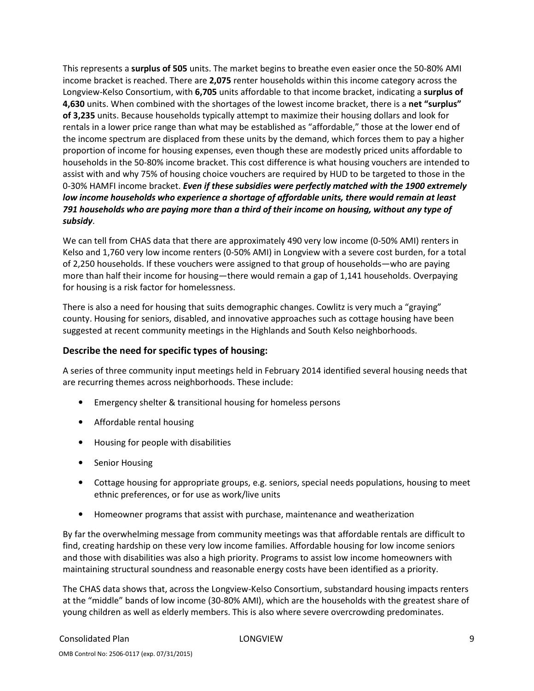This represents a surplus of 505 units. The market begins to breathe even easier once the 50-80% AMI income bracket is reached. There are 2,075 renter households within this income category across the Longview-Kelso Consortium, with 6,705 units affordable to that income bracket, indicating a surplus of 4,630 units. When combined with the shortages of the lowest income bracket, there is a net "surplus" of 3,235 units. Because households typically attempt to maximize their housing dollars and look for rentals in a lower price range than what may be established as "affordable," those at the lower end of the income spectrum are displaced from these units by the demand, which forces them to pay a higher proportion of income for housing expenses, even though these are modestly priced units affordable to households in the 50-80% income bracket. This cost difference is what housing vouchers are intended to assist with and why 75% of housing choice vouchers are required by HUD to be targeted to those in the 0-30% HAMFI income bracket. Even if these subsidies were perfectly matched with the 1900 extremely low income households who experience a shortage of affordable units, there would remain at least 791 households who are paying more than a third of their income on housing, without any type of subsidy.

We can tell from CHAS data that there are approximately 490 very low income (0-50% AMI) renters in Kelso and 1,760 very low income renters (0-50% AMI) in Longview with a severe cost burden, for a total of 2,250 households. If these vouchers were assigned to that group of households—who are paying more than half their income for housing—there would remain a gap of 1,141 households. Overpaying for housing is a risk factor for homelessness.

There is also a need for housing that suits demographic changes. Cowlitz is very much a "graying" county. Housing for seniors, disabled, and innovative approaches such as cottage housing have been suggested at recent community meetings in the Highlands and South Kelso neighborhoods.

## Describe the need for specific types of housing:

A series of three community input meetings held in February 2014 identified several housing needs that are recurring themes across neighborhoods. These include:

- Emergency shelter & transitional housing for homeless persons
- Affordable rental housing
- Housing for people with disabilities
- Senior Housing
- Cottage housing for appropriate groups, e.g. seniors, special needs populations, housing to meet ethnic preferences, or for use as work/live units
- Homeowner programs that assist with purchase, maintenance and weatherization

By far the overwhelming message from community meetings was that affordable rentals are difficult to find, creating hardship on these very low income families. Affordable housing for low income seniors and those with disabilities was also a high priority. Programs to assist low income homeowners with maintaining structural soundness and reasonable energy costs have been identified as a priority.

The CHAS data shows that, across the Longview-Kelso Consortium, substandard housing impacts renters at the "middle" bands of low income (30-80% AMI), which are the households with the greatest share of young children as well as elderly members. This is also where severe overcrowding predominates.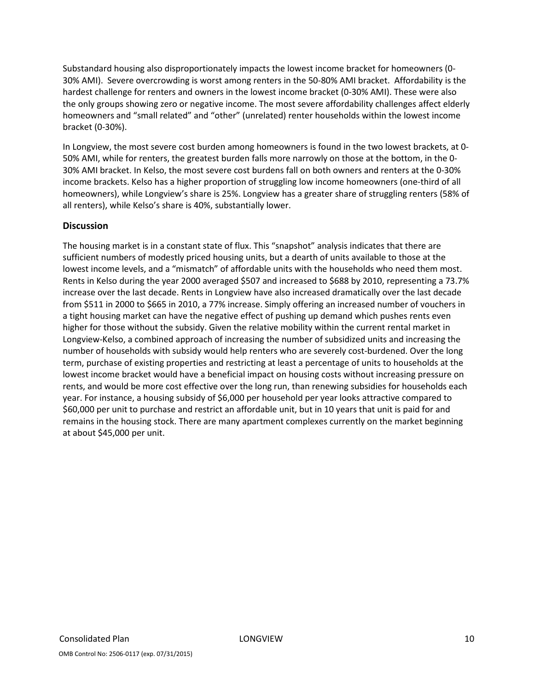Substandard housing also disproportionately impacts the lowest income bracket for homeowners (0- 30% AMI). Severe overcrowding is worst among renters in the 50-80% AMI bracket. Affordability is the hardest challenge for renters and owners in the lowest income bracket (0-30% AMI). These were also the only groups showing zero or negative income. The most severe affordability challenges affect elderly homeowners and "small related" and "other" (unrelated) renter households within the lowest income bracket (0-30%).

In Longview, the most severe cost burden among homeowners is found in the two lowest brackets, at 0- 50% AMI, while for renters, the greatest burden falls more narrowly on those at the bottom, in the 0- 30% AMI bracket. In Kelso, the most severe cost burdens fall on both owners and renters at the 0-30% income brackets. Kelso has a higher proportion of struggling low income homeowners (one-third of all homeowners), while Longview's share is 25%. Longview has a greater share of struggling renters (58% of all renters), while Kelso's share is 40%, substantially lower.

## **Discussion**

The housing market is in a constant state of flux. This "snapshot" analysis indicates that there are sufficient numbers of modestly priced housing units, but a dearth of units available to those at the lowest income levels, and a "mismatch" of affordable units with the households who need them most. Rents in Kelso during the year 2000 averaged \$507 and increased to \$688 by 2010, representing a 73.7% increase over the last decade. Rents in Longview have also increased dramatically over the last decade from \$511 in 2000 to \$665 in 2010, a 77% increase. Simply offering an increased number of vouchers in a tight housing market can have the negative effect of pushing up demand which pushes rents even higher for those without the subsidy. Given the relative mobility within the current rental market in Longview-Kelso, a combined approach of increasing the number of subsidized units and increasing the number of households with subsidy would help renters who are severely cost-burdened. Over the long term, purchase of existing properties and restricting at least a percentage of units to households at the lowest income bracket would have a beneficial impact on housing costs without increasing pressure on rents, and would be more cost effective over the long run, than renewing subsidies for households each year. For instance, a housing subsidy of \$6,000 per household per year looks attractive compared to \$60,000 per unit to purchase and restrict an affordable unit, but in 10 years that unit is paid for and remains in the housing stock. There are many apartment complexes currently on the market beginning at about \$45,000 per unit.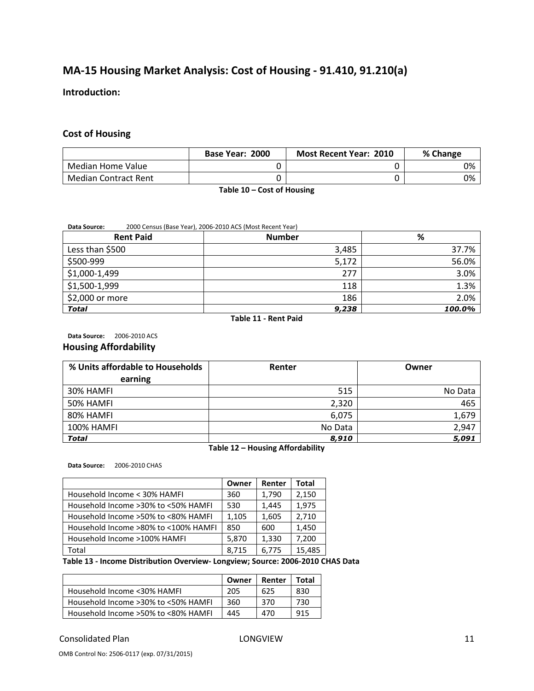# MA-15 Housing Market Analysis: Cost of Housing - 91.410, 91.210(a)

#### Introduction:

#### Cost of Housing

|                             | Base Year: 2000 | <b>Most Recent Year: 2010</b> | % Change |
|-----------------------------|-----------------|-------------------------------|----------|
| Median Home Value           |                 |                               | 0%       |
| <b>Median Contract Rent</b> |                 |                               | 0%       |

Table 10 – Cost of Housing

#### Data Source: 2000 Census (Base Year), 2006-2010 ACS (Most Recent Year)

| <b>Rent Paid</b> | <b>Number</b> | %      |
|------------------|---------------|--------|
| Less than \$500  | 3,485         | 37.7%  |
| \$500-999        | 5,172         | 56.0%  |
| \$1,000-1,499    | 277           | 3.0%   |
| \$1,500-1,999    | 118           | 1.3%   |
| \$2,000 or more  | 186           | 2.0%   |
| <b>Total</b>     | 9,238         | 100.0% |

Table 11 - Rent Paid

Data Source: 2006-2010 ACS

#### Housing Affordability

| % Units affordable to Households | Renter  | Owner   |
|----------------------------------|---------|---------|
| earning                          |         |         |
| 30% HAMFI                        | 515     | No Data |
| 50% HAMFI                        | 2,320   | 465     |
| 80% HAMFI                        | 6,075   | 1,679   |
| <b>100% HAMFI</b>                | No Data | 2,947   |
| <b>Total</b>                     | 8,910   | 5,091   |

#### Table 12 – Housing Affordability

Data Source: 2006-2010 CHAS

|                                       | Owner | Renter | Total  |
|---------------------------------------|-------|--------|--------|
| Household Income < 30% HAMFI          | 360   | 1,790  | 2,150  |
| Household Income > 30% to < 50% HAMFI | 530   | 1,445  | 1,975  |
| Household Income >50% to <80% HAMFI   | 1,105 | 1,605  | 2,710  |
| Household Income >80% to <100% HAMFI  | 850   | 600    | 1,450  |
| Household Income >100% HAMFI          | 5,870 | 1,330  | 7,200  |
| Total                                 | 8,715 | 6,775  | 15,485 |

#### Table 13 - Income Distribution Overview- Longview; Source: 2006-2010 CHAS Data

|                                     | Owner | Renter | Total |
|-------------------------------------|-------|--------|-------|
| Household Income <30% HAMFI         | 205   | 625    | 830   |
| Household Income >30% to <50% HAMFI | 360   | 370    | 730   |
| Household Income >50% to <80% HAMFI | 445   | 470    | 915   |

#### Consolidated Plan 11 and 2008 LONGVIEW 11 and 2008 LONGVIEW 11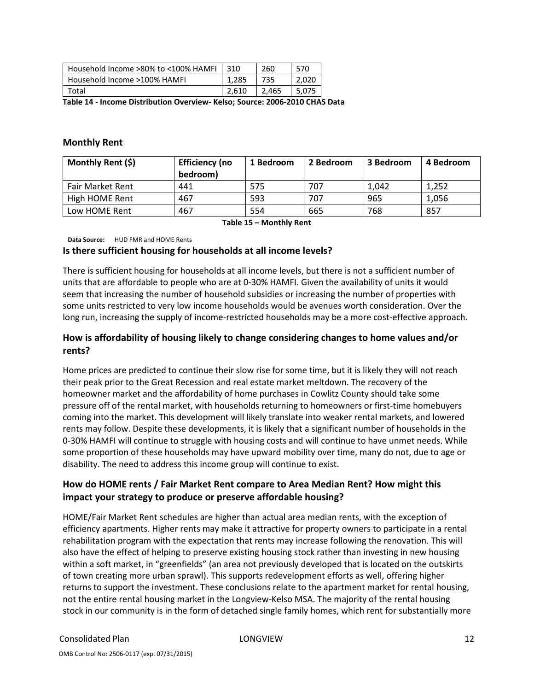| Household Income >80% to <100% HAMFI | 310   | 260   | 570   |
|--------------------------------------|-------|-------|-------|
| Household Income >100% HAMFI         | 1.285 | 735   | 2.020 |
| Total                                | 2.610 | 2.465 | 5.075 |

Table 14 - Income Distribution Overview- Kelso; Source: 2006-2010 CHAS Data

#### Monthly Rent

| Monthly Rent (\$) | <b>Efficiency (no</b><br>bedroom) | 1 Bedroom | 2 Bedroom | 3 Bedroom | 4 Bedroom |
|-------------------|-----------------------------------|-----------|-----------|-----------|-----------|
| Fair Market Rent  | 441                               | 575       | 707       | 1.042     | 1.252     |
| High HOME Rent    | 467                               | 593       | 707       | 965       | 1,056     |
| Low HOME Rent     | 467                               | 554       | 665       | 768       | 857       |

Table 15 – Monthly Rent

Data Source: HUD FMR and HOME Rents

#### Is there sufficient housing for households at all income levels?

There is sufficient housing for households at all income levels, but there is not a sufficient number of units that are affordable to people who are at 0-30% HAMFI. Given the availability of units it would seem that increasing the number of household subsidies or increasing the number of properties with some units restricted to very low income households would be avenues worth consideration. Over the long run, increasing the supply of income-restricted households may be a more cost-effective approach.

## How is affordability of housing likely to change considering changes to home values and/or rents?

Home prices are predicted to continue their slow rise for some time, but it is likely they will not reach their peak prior to the Great Recession and real estate market meltdown. The recovery of the homeowner market and the affordability of home purchases in Cowlitz County should take some pressure off of the rental market, with households returning to homeowners or first-time homebuyers coming into the market. This development will likely translate into weaker rental markets, and lowered rents may follow. Despite these developments, it is likely that a significant number of households in the 0-30% HAMFI will continue to struggle with housing costs and will continue to have unmet needs. While some proportion of these households may have upward mobility over time, many do not, due to age or disability. The need to address this income group will continue to exist.

## How do HOME rents / Fair Market Rent compare to Area Median Rent? How might this impact your strategy to produce or preserve affordable housing?

HOME/Fair Market Rent schedules are higher than actual area median rents, with the exception of efficiency apartments. Higher rents may make it attractive for property owners to participate in a rental rehabilitation program with the expectation that rents may increase following the renovation. This will also have the effect of helping to preserve existing housing stock rather than investing in new housing within a soft market, in "greenfields" (an area not previously developed that is located on the outskirts of town creating more urban sprawl). This supports redevelopment efforts as well, offering higher returns to support the investment. These conclusions relate to the apartment market for rental housing, not the entire rental housing market in the Longview-Kelso MSA. The majority of the rental housing stock in our community is in the form of detached single family homes, which rent for substantially more

OMB Control No: 2506-0117 (exp. 07/31/2015)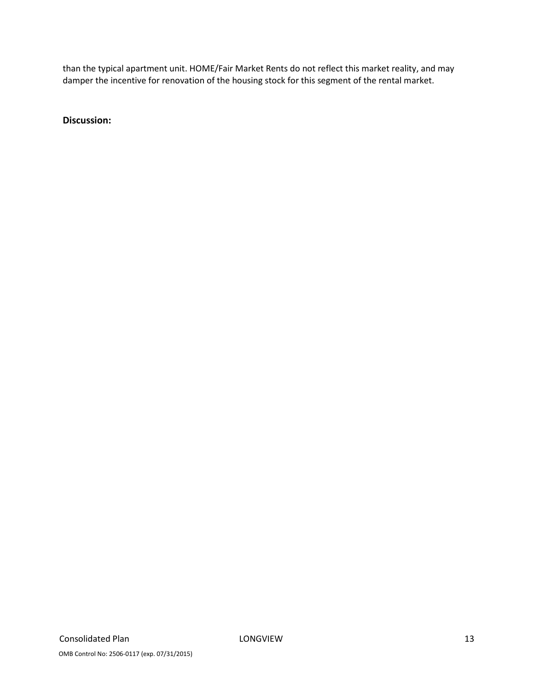than the typical apartment unit. HOME/Fair Market Rents do not reflect this market reality, and may damper the incentive for renovation of the housing stock for this segment of the rental market.

Discussion: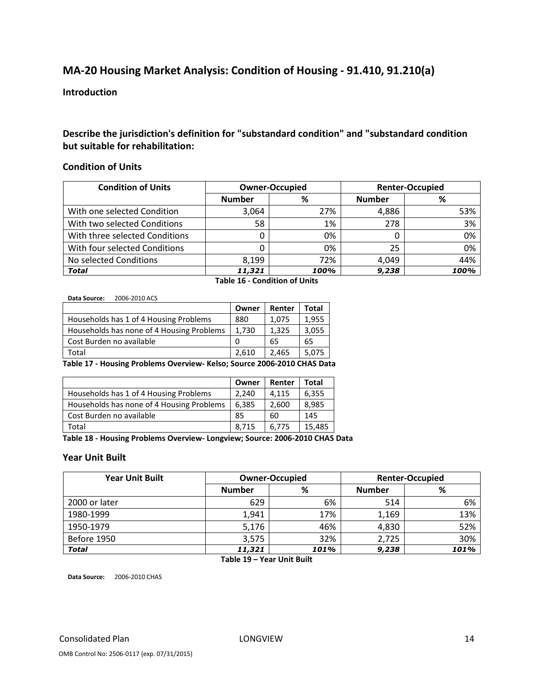# MA-20 Housing Market Analysis: Condition of Housing - 91.410, 91.210(a)

#### Introduction

## Describe the jurisdiction's definition for "substandard condition" and "substandard condition but suitable for rehabilitation:

#### Condition of Units

| <b>Condition of Units</b>      |               | <b>Owner-Occupied</b> |               | <b>Renter-Occupied</b> |
|--------------------------------|---------------|-----------------------|---------------|------------------------|
|                                | <b>Number</b> | %                     | <b>Number</b> | %                      |
| With one selected Condition    | 3,064         | 27%                   | 4,886         | 53%                    |
| With two selected Conditions   | 58            | 1%                    | 278           | 3%                     |
| With three selected Conditions |               | 0%                    |               | 0%                     |
| With four selected Conditions  |               | 0%                    | 25            | 0%                     |
| No selected Conditions         | 8.199         | 72%                   | 4.049         | 44%                    |
| <b>Total</b>                   | 11,321        | 100%                  | 9,238         | 100%                   |

Table 16 - Condition of Units

Data Source: 2006-2010 ACS

| Owner | Renter | <b>Total</b> |
|-------|--------|--------------|
| 880   | 1.075  | 1,955        |
| 1.730 | 1.325  | 3,055        |
| 0     | 65     | 65           |
| 2.610 | 2.465  | 5,075        |
|       |        |              |

Table 17 - Housing Problems Overview- Kelso; Source 2006-2010 CHAS Data

|                                           | Owner | Renter | Total  |
|-------------------------------------------|-------|--------|--------|
| Households has 1 of 4 Housing Problems    | 2,240 | 4,115  | 6,355  |
| Households has none of 4 Housing Problems | 6,385 | 2,600  | 8,985  |
| Cost Burden no available                  | 85    | 60     | 145    |
| Total                                     | 8,715 | 6,775  | 15,485 |

Table 18 - Housing Problems Overview- Longview; Source: 2006-2010 CHAS Data

## Year Unit Built

| <b>Year Unit Built</b> | <b>Owner-Occupied</b> |      |               | <b>Renter-Occupied</b> |
|------------------------|-----------------------|------|---------------|------------------------|
|                        | <b>Number</b>         | %    | <b>Number</b> | ℅                      |
| 2000 or later          | 629                   | 6%   | 514           | 6%                     |
| 1980-1999              | 1,941                 | 17%  | 1,169         | 13%                    |
| 1950-1979              | 5,176                 | 46%  | 4,830         | 52%                    |
| Before 1950            | 3,575                 | 32%  | 2,725         | 30%                    |
| <b>Total</b>           | 11,321                | 101% | 9,238         | 101%                   |

Table 19 – Year Unit Built

Data Source: 2006-2010 CHAS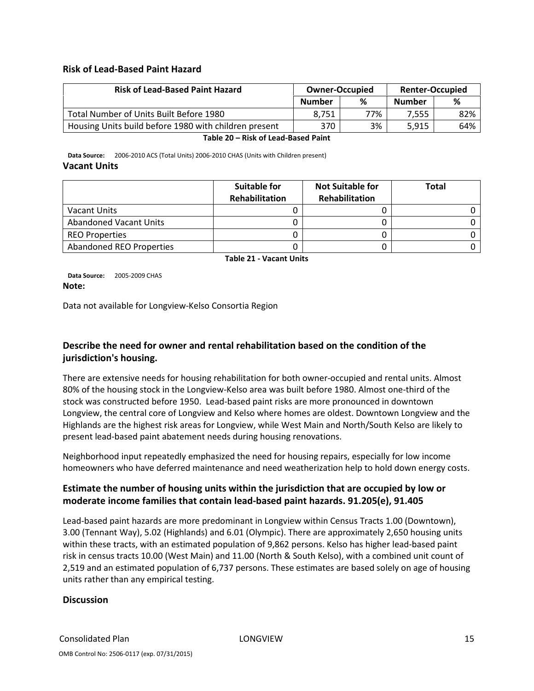#### Risk of Lead-Based Paint Hazard

| <b>Risk of Lead-Based Paint Hazard</b>                | <b>Owner-Occupied</b> |     |               |     | <b>Renter-Occupied</b> |  |
|-------------------------------------------------------|-----------------------|-----|---------------|-----|------------------------|--|
|                                                       | <b>Number</b>         | %   | <b>Number</b> | %   |                        |  |
| Total Number of Units Built Before 1980               | 8.751                 | 77% | 7.555         | 82% |                        |  |
| Housing Units build before 1980 with children present | 370                   | 3%  | 5.915         | 64% |                        |  |

Table 20 – Risk of Lead-Based Paint

Data Source: 2006-2010 ACS (Total Units) 2006-2010 CHAS (Units with Children present) Vacant Units

|                                 | Suitable for   | <b>Not Suitable for</b> | Total |
|---------------------------------|----------------|-------------------------|-------|
|                                 | Rehabilitation | Rehabilitation          |       |
| Vacant Units                    |                |                         |       |
| <b>Abandoned Vacant Units</b>   |                |                         |       |
| <b>REO Properties</b>           |                |                         |       |
| <b>Abandoned REO Properties</b> |                |                         |       |

Table 21 - Vacant Units

Data Source: 2005-2009 CHAS Note:

Data not available for Longview-Kelso Consortia Region

## Describe the need for owner and rental rehabilitation based on the condition of the jurisdiction's housing.

There are extensive needs for housing rehabilitation for both owner-occupied and rental units. Almost 80% of the housing stock in the Longview-Kelso area was built before 1980. Almost one-third of the stock was constructed before 1950. Lead-based paint risks are more pronounced in downtown Longview, the central core of Longview and Kelso where homes are oldest. Downtown Longview and the Highlands are the highest risk areas for Longview, while West Main and North/South Kelso are likely to present lead-based paint abatement needs during housing renovations.

Neighborhood input repeatedly emphasized the need for housing repairs, especially for low income homeowners who have deferred maintenance and need weatherization help to hold down energy costs.

## Estimate the number of housing units within the jurisdiction that are occupied by low or moderate income families that contain lead-based paint hazards. 91.205(e), 91.405

Lead-based paint hazards are more predominant in Longview within Census Tracts 1.00 (Downtown), 3.00 (Tennant Way), 5.02 (Highlands) and 6.01 (Olympic). There are approximately 2,650 housing units within these tracts, with an estimated population of 9,862 persons. Kelso has higher lead-based paint risk in census tracts 10.00 (West Main) and 11.00 (North & South Kelso), with a combined unit count of 2,519 and an estimated population of 6,737 persons. These estimates are based solely on age of housing units rather than any empirical testing.

## **Discussion**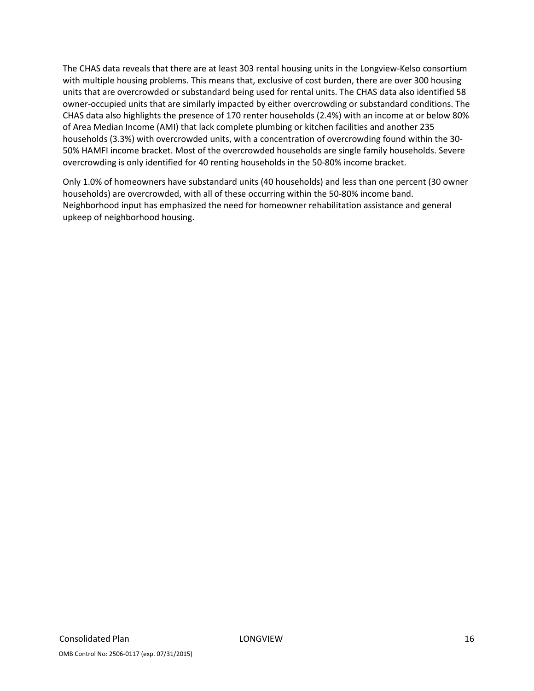The CHAS data reveals that there are at least 303 rental housing units in the Longview-Kelso consortium with multiple housing problems. This means that, exclusive of cost burden, there are over 300 housing units that are overcrowded or substandard being used for rental units. The CHAS data also identified 58 owner-occupied units that are similarly impacted by either overcrowding or substandard conditions. The CHAS data also highlights the presence of 170 renter households (2.4%) with an income at or below 80% of Area Median Income (AMI) that lack complete plumbing or kitchen facilities and another 235 households (3.3%) with overcrowded units, with a concentration of overcrowding found within the 30- 50% HAMFI income bracket. Most of the overcrowded households are single family households. Severe overcrowding is only identified for 40 renting households in the 50-80% income bracket.

Only 1.0% of homeowners have substandard units (40 households) and less than one percent (30 owner households) are overcrowded, with all of these occurring within the 50-80% income band. Neighborhood input has emphasized the need for homeowner rehabilitation assistance and general upkeep of neighborhood housing.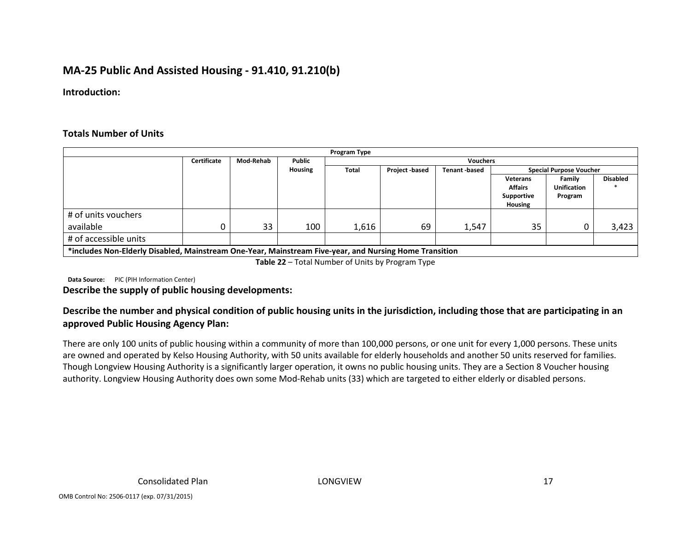# MA-25 Public And Assisted Housing - 91.410, 91.210(b)

Introduction:

#### Totals Number of Units

|                       |                                                                                                        |                  |         | Program Type |                |                     |                |                                |                 |
|-----------------------|--------------------------------------------------------------------------------------------------------|------------------|---------|--------------|----------------|---------------------|----------------|--------------------------------|-----------------|
|                       | Certificate                                                                                            | <b>Mod-Rehab</b> | Public  |              |                | <b>Vouchers</b>     |                |                                |                 |
|                       |                                                                                                        |                  | Housing | <b>Total</b> | Project -based | <b>Tenant-based</b> |                | <b>Special Purpose Voucher</b> |                 |
|                       |                                                                                                        |                  |         |              |                |                     | Veterans       | Family                         | <b>Disabled</b> |
|                       |                                                                                                        |                  |         |              |                |                     | <b>Affairs</b> | <b>Unification</b>             |                 |
|                       |                                                                                                        |                  |         |              |                |                     | Supportive     | Program                        |                 |
|                       |                                                                                                        |                  |         |              |                |                     | <b>Housing</b> |                                |                 |
| # of units vouchers   |                                                                                                        |                  |         |              |                |                     |                |                                |                 |
| available             |                                                                                                        | 33               | 100     | 1.616        | 69             | 1,547               | 35             |                                | 3,423           |
| # of accessible units |                                                                                                        |                  |         |              |                |                     |                |                                |                 |
|                       | *includes Non-Elderly Disabled, Mainstream One-Year, Mainstream Five-year, and Nursing Home Transition |                  |         |              |                |                     |                |                                |                 |

Table 22 – Total Number of Units by Program Type

**Data Source:** PIC (PIH Information Center)

#### Describe the supply of public housing developments:

## Describe the number and physical condition of public housing units in the jurisdiction, including those that are participating in an approved Public Housing Agency Plan:

There are only 100 units of public housing within a community of more than 100,000 persons, or one unit for every 1,000 persons. These units are owned and operated by Kelso Housing Authority, with 50 units available for elderly households and another 50 units reserved for families. Though Longview Housing Authority is a significantly larger operation, it owns no public housing units. They are a Section 8 Voucher housing authority. Longview Housing Authority does own some Mod-Rehab units (33) which are targeted to either elderly or disabled persons.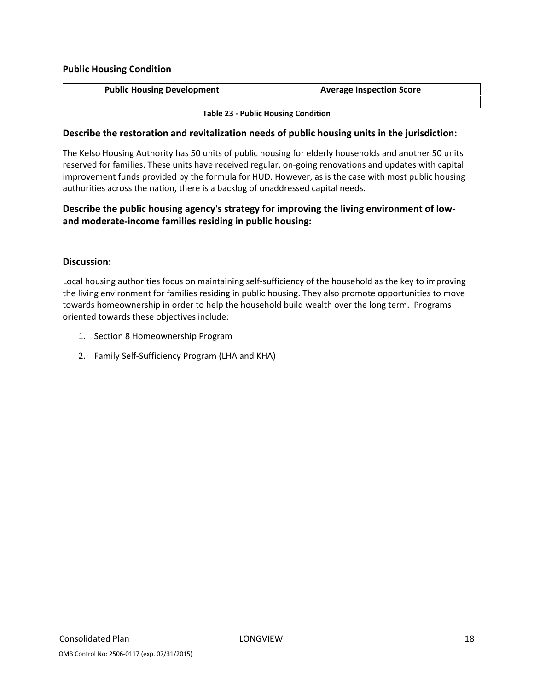## Public Housing Condition

| <b>Public Housing Development</b> | <b>Average Inspection Score</b> |
|-----------------------------------|---------------------------------|
|                                   |                                 |

Table 23 - Public Housing Condition

#### Describe the restoration and revitalization needs of public housing units in the jurisdiction:

The Kelso Housing Authority has 50 units of public housing for elderly households and another 50 units reserved for families. These units have received regular, on-going renovations and updates with capital improvement funds provided by the formula for HUD. However, as is the case with most public housing authorities across the nation, there is a backlog of unaddressed capital needs.

## Describe the public housing agency's strategy for improving the living environment of lowand moderate-income families residing in public housing:

## Discussion:

Local housing authorities focus on maintaining self-sufficiency of the household as the key to improving the living environment for families residing in public housing. They also promote opportunities to move towards homeownership in order to help the household build wealth over the long term. Programs oriented towards these objectives include:

- 1. Section 8 Homeownership Program
- 2. Family Self-Sufficiency Program (LHA and KHA)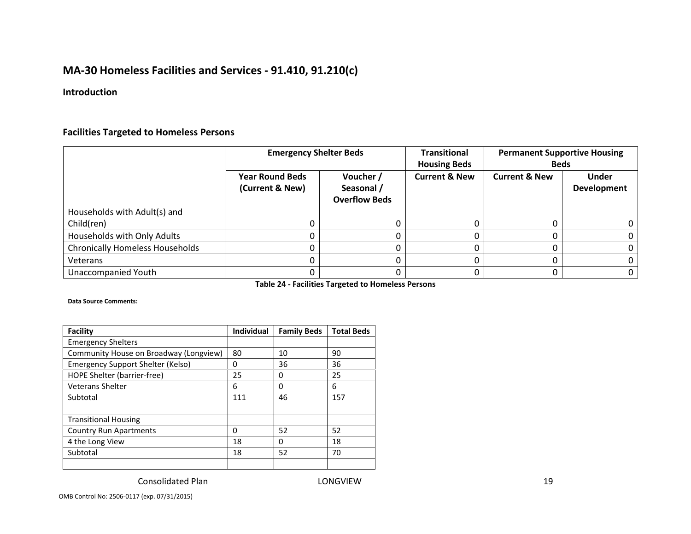# MA-30 Homeless Facilities and Services - 91.410, 91.210(c)

## Introduction

## Facilities Targeted to Homeless Persons

|                                        | <b>Emergency Shelter Beds</b>             |                                                 | <b>Transitional</b><br><b>Housing Beds</b> | <b>Permanent Supportive Housing</b><br><b>Beds</b> |                                    |
|----------------------------------------|-------------------------------------------|-------------------------------------------------|--------------------------------------------|----------------------------------------------------|------------------------------------|
|                                        | <b>Year Round Beds</b><br>(Current & New) | Voucher /<br>Seasonal /<br><b>Overflow Beds</b> | <b>Current &amp; New</b>                   | <b>Current &amp; New</b>                           | <b>Under</b><br><b>Development</b> |
| Households with Adult(s) and           |                                           |                                                 |                                            |                                                    |                                    |
| Child(ren)                             | υ                                         |                                                 |                                            | 0                                                  |                                    |
| Households with Only Adults            |                                           |                                                 |                                            |                                                    |                                    |
| <b>Chronically Homeless Households</b> |                                           |                                                 |                                            |                                                    |                                    |
| Veterans                               |                                           |                                                 |                                            |                                                    |                                    |
| <b>Unaccompanied Youth</b>             |                                           |                                                 |                                            |                                                    |                                    |

Table 24 - Facilities Targeted to Homeless Persons

Data Source Comments:

| <b>Facility</b>                        | <b>Individual</b> | <b>Family Beds</b> | <b>Total Beds</b> |
|----------------------------------------|-------------------|--------------------|-------------------|
| <b>Emergency Shelters</b>              |                   |                    |                   |
| Community House on Broadway (Longview) | 80                | 10                 | 90                |
| Emergency Support Shelter (Kelso)      | 0                 | 36                 | 36                |
| HOPE Shelter (barrier-free)            | 25                | 0                  | 25                |
| <b>Veterans Shelter</b>                | 6                 | 0                  | 6                 |
| Subtotal                               | 111               | 46                 | 157               |
|                                        |                   |                    |                   |
| <b>Transitional Housing</b>            |                   |                    |                   |
| <b>Country Run Apartments</b>          | 0                 | 52                 | 52                |
| 4 the Long View                        | 18                | 0                  | 18                |
| Subtotal                               | 18                | 52                 | 70                |
|                                        |                   |                    |                   |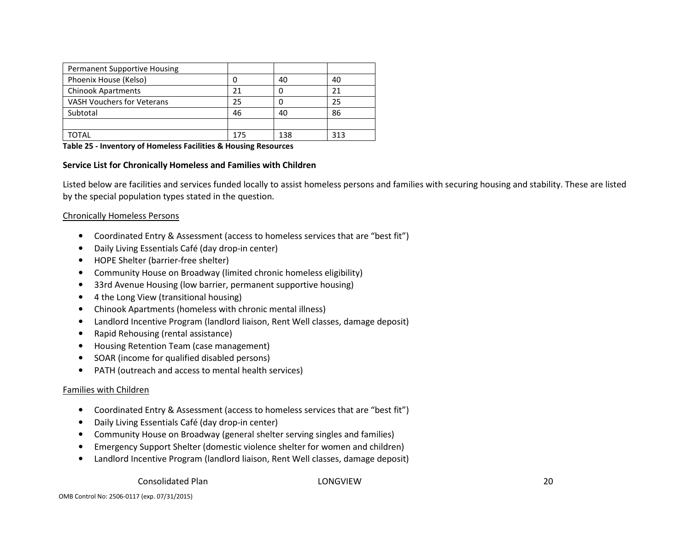| <b>Permanent Supportive Housing</b> |     |     |     |
|-------------------------------------|-----|-----|-----|
| Phoenix House (Kelso)               |     | 40  | 40  |
| <b>Chinook Apartments</b>           | 21  |     |     |
| VASH Vouchers for Veterans          | 25  |     | 25  |
| Subtotal                            | 46  | 40  | 86  |
|                                     |     |     |     |
| TOTAL                               | 175 | 138 | 313 |

#### Table 25 - Inventory of Homeless Facilities & Housing Resources

#### Service List for Chronically Homeless and Families with Children

Listed below are facilities and services funded locally to assist homeless persons and families with securing housing and stability. These are listed by the special population types stated in the question.

#### Chronically Homeless Persons

- $\bullet$ Coordinated Entry & Assessment (access to homeless services that are "best fit")
- •Daily Living Essentials Café (day drop-in center)
- •HOPE Shelter (barrier-free shelter)
- •Community House on Broadway (limited chronic homeless eligibility)
- •33rd Avenue Housing (low barrier, permanent supportive housing)
- •4 the Long View (transitional housing)
- •Chinook Apartments (homeless with chronic mental illness)
- •Landlord Incentive Program (landlord liaison, Rent Well classes, damage deposit)
- •Rapid Rehousing (rental assistance)
- •Housing Retention Team (case management)
- •SOAR (income for qualified disabled persons)
- •PATH (outreach and access to mental health services)

#### Families with Children

- •Coordinated Entry & Assessment (access to homeless services that are "best fit")
- •Daily Living Essentials Café (day drop-in center)
- •Community House on Broadway (general shelter serving singles and families)
- •Emergency Support Shelter (domestic violence shelter for women and children)
- $\bullet$ Landlord Incentive Program (landlord liaison, Rent Well classes, damage deposit)

Consolidated Plan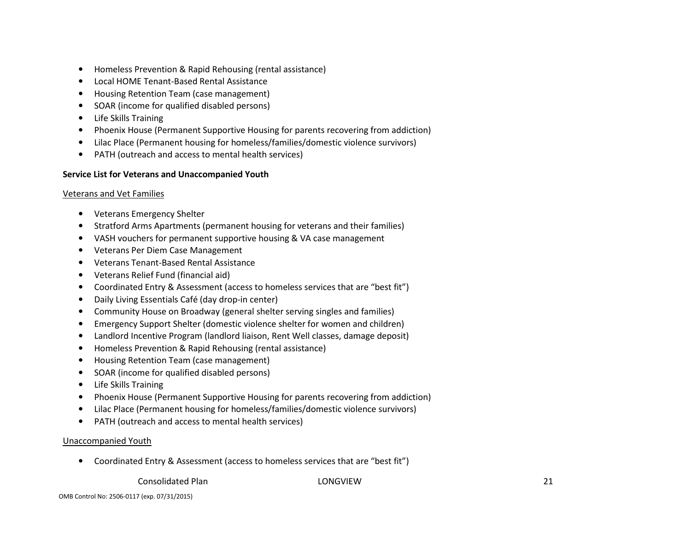- •Homeless Prevention & Rapid Rehousing (rental assistance)
- •Local HOME Tenant-Based Rental Assistance
- •Housing Retention Team (case management)
- •SOAR (income for qualified disabled persons)
- •Life Skills Training
- •Phoenix House (Permanent Supportive Housing for parents recovering from addiction)
- •Lilac Place (Permanent housing for homeless/families/domestic violence survivors)
- •PATH (outreach and access to mental health services)

## Service List for Veterans and Unaccompanied Youth

## Veterans and Vet Families

- Veterans Emergency Shelter
- •Stratford Arms Apartments (permanent housing for veterans and their families)
- •VASH vouchers for permanent supportive housing & VA case management
- •Veterans Per Diem Case Management
- •Veterans Tenant-Based Rental Assistance
- •Veterans Relief Fund (financial aid)
- •Coordinated Entry & Assessment (access to homeless services that are "best fit")
- •Daily Living Essentials Café (day drop-in center)
- •Community House on Broadway (general shelter serving singles and families)
- •Emergency Support Shelter (domestic violence shelter for women and children)
- •Landlord Incentive Program (landlord liaison, Rent Well classes, damage deposit)
- •Homeless Prevention & Rapid Rehousing (rental assistance)
- •Housing Retention Team (case management)
- $\bullet$ SOAR (income for qualified disabled persons)
- •Life Skills Training
- •Phoenix House (Permanent Supportive Housing for parents recovering from addiction)
- •Lilac Place (Permanent housing for homeless/families/domestic violence survivors)
- •PATH (outreach and access to mental health services)

## Unaccompanied Youth

• Coordinated Entry & Assessment (access to homeless services that are "best fit")

## Consolidated Plan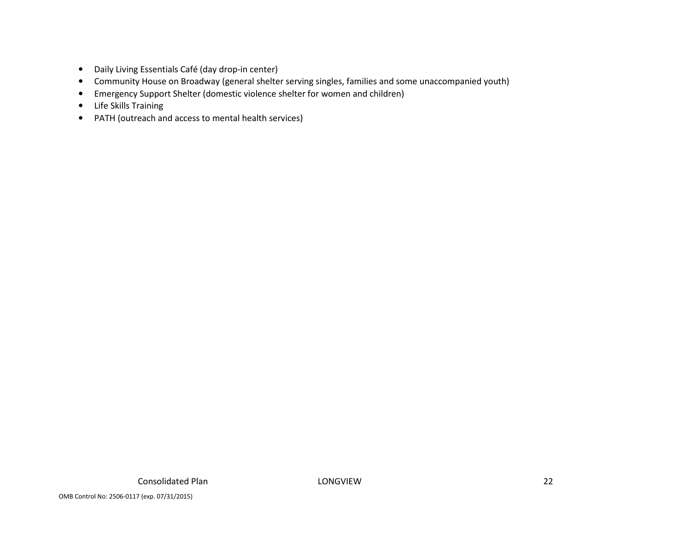- Daily Living Essentials Café (day drop-in center)
- Community House on Broadway (general shelter serving singles, families and some unaccompanied youth)
- $\bullet$ Emergency Support Shelter (domestic violence shelter for women and children)
- Life Skills Training
- PATH (outreach and access to mental health services)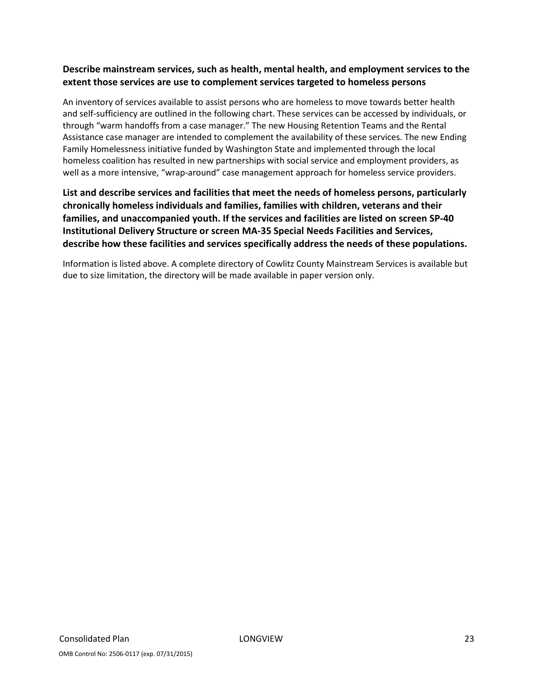## Describe mainstream services, such as health, mental health, and employment services to the extent those services are use to complement services targeted to homeless persons

An inventory of services available to assist persons who are homeless to move towards better health and self-sufficiency are outlined in the following chart. These services can be accessed by individuals, or through "warm handoffs from a case manager." The new Housing Retention Teams and the Rental Assistance case manager are intended to complement the availability of these services. The new Ending Family Homelessness initiative funded by Washington State and implemented through the local homeless coalition has resulted in new partnerships with social service and employment providers, as well as a more intensive, "wrap-around" case management approach for homeless service providers.

## List and describe services and facilities that meet the needs of homeless persons, particularly chronically homeless individuals and families, families with children, veterans and their families, and unaccompanied youth. If the services and facilities are listed on screen SP-40 Institutional Delivery Structure or screen MA-35 Special Needs Facilities and Services, describe how these facilities and services specifically address the needs of these populations.

Information is listed above. A complete directory of Cowlitz County Mainstream Services is available but due to size limitation, the directory will be made available in paper version only.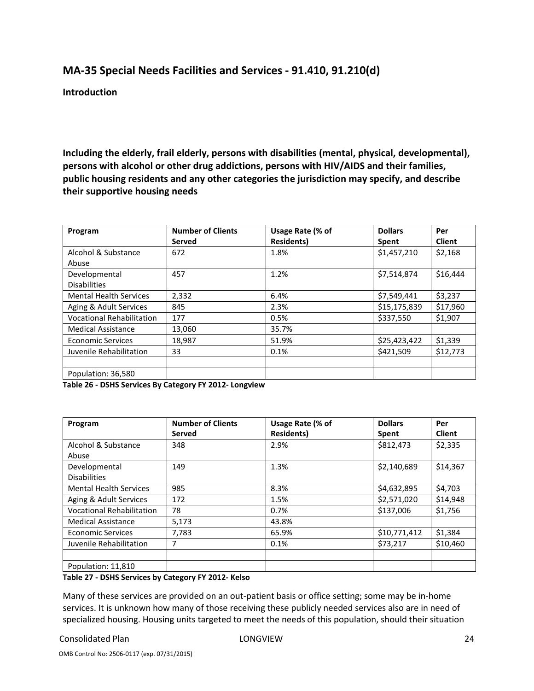# MA-35 Special Needs Facilities and Services - 91.410, 91.210(d)

Introduction

Including the elderly, frail elderly, persons with disabilities (mental, physical, developmental), persons with alcohol or other drug addictions, persons with HIV/AIDS and their families, public housing residents and any other categories the jurisdiction may specify, and describe their supportive housing needs

| Program                          | <b>Number of Clients</b> | Usage Rate (% of  | <b>Dollars</b> | Per           |
|----------------------------------|--------------------------|-------------------|----------------|---------------|
|                                  | Served                   | <b>Residents)</b> | Spent          | <b>Client</b> |
| Alcohol & Substance              | 672                      | 1.8%              | \$1,457,210    | \$2,168       |
| Abuse                            |                          |                   |                |               |
| Developmental                    | 457                      | 1.2%              | \$7,514,874    | \$16,444      |
| <b>Disabilities</b>              |                          |                   |                |               |
| <b>Mental Health Services</b>    | 2,332                    | 6.4%              | \$7,549,441    | \$3,237       |
| Aging & Adult Services           | 845                      | 2.3%              | \$15,175,839   | \$17,960      |
| <b>Vocational Rehabilitation</b> | 177                      | 0.5%              | \$337,550      | \$1,907       |
| <b>Medical Assistance</b>        | 13,060                   | 35.7%             |                |               |
| <b>Economic Services</b>         | 18,987                   | 51.9%             | \$25,423,422   | \$1,339       |
| Juvenile Rehabilitation          | 33                       | 0.1%              | \$421,509      | \$12,773      |
|                                  |                          |                   |                |               |
| Population: 36,580               |                          |                   |                |               |

Table 26 - DSHS Services By Category FY 2012- Longview

| Program                          | <b>Number of Clients</b> | Usage Rate (% of  | <b>Dollars</b> | Per           |
|----------------------------------|--------------------------|-------------------|----------------|---------------|
|                                  | Served                   | <b>Residents)</b> | Spent          | <b>Client</b> |
| Alcohol & Substance              | 348                      | 2.9%              | \$812,473      | \$2,335       |
| Abuse                            |                          |                   |                |               |
| Developmental                    | 149                      | 1.3%              | \$2,140,689    | \$14,367      |
| <b>Disabilities</b>              |                          |                   |                |               |
| <b>Mental Health Services</b>    | 985                      | 8.3%              | \$4,632,895    | \$4,703       |
| Aging & Adult Services           | 172                      | 1.5%              | \$2,571,020    | \$14,948      |
| <b>Vocational Rehabilitation</b> | 78                       | 0.7%              | \$137,006      | \$1,756       |
| <b>Medical Assistance</b>        | 5,173                    | 43.8%             |                |               |
| <b>Economic Services</b>         | 7,783                    | 65.9%             | \$10,771,412   | \$1,384       |
| Juvenile Rehabilitation          | 7                        | 0.1%              | \$73.217       | \$10,460      |
|                                  |                          |                   |                |               |
| Population: 11,810               |                          |                   |                |               |

Table 27 - DSHS Services by Category FY 2012- Kelso

Many of these services are provided on an out-patient basis or office setting; some may be in-home services. It is unknown how many of those receiving these publicly needed services also are in need of specialized housing. Housing units targeted to meet the needs of this population, should their situation

#### Consolidated Plan 24 and 24 and 24 and 24 and 24 and 24 and 25 and 26 and 26 and 27 and 27 and 27 and 27 and 27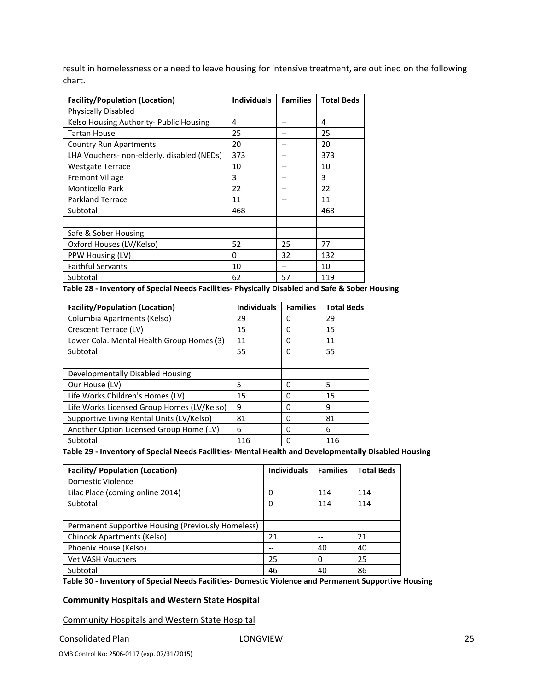result in homelessness or a need to leave housing for intensive treatment, are outlined on the following chart.

| <b>Facility/Population (Location)</b>      | <b>Individuals</b> | <b>Families</b> | <b>Total Beds</b> |
|--------------------------------------------|--------------------|-----------------|-------------------|
| Physically Disabled                        |                    |                 |                   |
| Kelso Housing Authority- Public Housing    | 4                  |                 | 4                 |
| <b>Tartan House</b>                        | 25                 |                 | 25                |
| <b>Country Run Apartments</b>              | 20                 |                 | 20                |
| LHA Vouchers- non-elderly, disabled (NEDs) | 373                |                 | 373               |
| <b>Westgate Terrace</b>                    | 10                 |                 | 10                |
| <b>Fremont Village</b>                     | 3                  |                 | 3                 |
| <b>Monticello Park</b>                     | 22                 |                 | 22                |
| <b>Parkland Terrace</b>                    | 11                 |                 | 11                |
| Subtotal                                   | 468                |                 | 468               |
|                                            |                    |                 |                   |
| Safe & Sober Housing                       |                    |                 |                   |
| Oxford Houses (LV/Kelso)                   | 52                 | 25              | 77                |
| PPW Housing (LV)                           | 0                  | 32              | 132               |
| <b>Faithful Servants</b>                   | 10                 |                 | 10                |
| Subtotal                                   | 62                 | 57              | 119               |

Table 28 - Inventory of Special Needs Facilities- Physically Disabled and Safe & Sober Housing

| <b>Facility/Population (Location)</b>      | <b>Individuals</b> | <b>Families</b> | <b>Total Beds</b> |
|--------------------------------------------|--------------------|-----------------|-------------------|
| Columbia Apartments (Kelso)                | 29                 | 0               | 29                |
| Crescent Terrace (LV)                      | 15                 | 0               | 15                |
| Lower Cola. Mental Health Group Homes (3)  | 11                 | 0               | 11                |
| Subtotal                                   | 55                 | 0               | 55                |
|                                            |                    |                 |                   |
| Developmentally Disabled Housing           |                    |                 |                   |
| Our House (LV)                             | 5                  | 0               | 5                 |
| Life Works Children's Homes (LV)           | 15                 | 0               | 15                |
| Life Works Licensed Group Homes (LV/Kelso) | 9                  | O               | 9                 |
| Supportive Living Rental Units (LV/Kelso)  | 81                 | 0               | 81                |
| Another Option Licensed Group Home (LV)    | 6                  | 0               | 6                 |
| Subtotal                                   | 116                | O               | 116               |

Table 29 - Inventory of Special Needs Facilities- Mental Health and Developmentally Disabled Housing

| <b>Facility/ Population (Location)</b>             | <b>Individuals</b> | <b>Families</b> | <b>Total Beds</b> |
|----------------------------------------------------|--------------------|-----------------|-------------------|
| Domestic Violence                                  |                    |                 |                   |
| Lilac Place (coming online 2014)                   | 0                  | 114             | 114               |
| Subtotal                                           | 0                  | 114             | 114               |
|                                                    |                    |                 |                   |
| Permanent Supportive Housing (Previously Homeless) |                    |                 |                   |
| Chinook Apartments (Kelso)                         | 21                 |                 | 21                |
| Phoenix House (Kelso)                              |                    | 40              | 40                |
| <b>Vet VASH Vouchers</b>                           | 25                 | 0               | 25                |
| Subtotal                                           | 46                 | 40              | 86                |

Table 30 - Inventory of Special Needs Facilities- Domestic Violence and Permanent Supportive Housing

#### Community Hospitals and Western State Hospital

Community Hospitals and Western State Hospital

Consolidated Plan LONGVIEW 25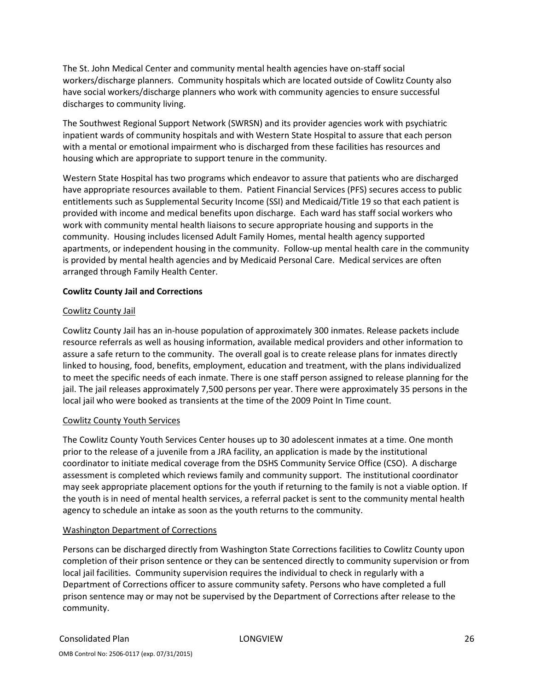The St. John Medical Center and community mental health agencies have on-staff social workers/discharge planners. Community hospitals which are located outside of Cowlitz County also have social workers/discharge planners who work with community agencies to ensure successful discharges to community living.

The Southwest Regional Support Network (SWRSN) and its provider agencies work with psychiatric inpatient wards of community hospitals and with Western State Hospital to assure that each person with a mental or emotional impairment who is discharged from these facilities has resources and housing which are appropriate to support tenure in the community.

Western State Hospital has two programs which endeavor to assure that patients who are discharged have appropriate resources available to them. Patient Financial Services (PFS) secures access to public entitlements such as Supplemental Security Income (SSI) and Medicaid/Title 19 so that each patient is provided with income and medical benefits upon discharge. Each ward has staff social workers who work with community mental health liaisons to secure appropriate housing and supports in the community. Housing includes licensed Adult Family Homes, mental health agency supported apartments, or independent housing in the community. Follow-up mental health care in the community is provided by mental health agencies and by Medicaid Personal Care. Medical services are often arranged through Family Health Center.

#### Cowlitz County Jail and Corrections

#### Cowlitz County Jail

Cowlitz County Jail has an in-house population of approximately 300 inmates. Release packets include resource referrals as well as housing information, available medical providers and other information to assure a safe return to the community. The overall goal is to create release plans for inmates directly linked to housing, food, benefits, employment, education and treatment, with the plans individualized to meet the specific needs of each inmate. There is one staff person assigned to release planning for the jail. The jail releases approximately 7,500 persons per year. There were approximately 35 persons in the local jail who were booked as transients at the time of the 2009 Point In Time count.

## Cowlitz County Youth Services

The Cowlitz County Youth Services Center houses up to 30 adolescent inmates at a time. One month prior to the release of a juvenile from a JRA facility, an application is made by the institutional coordinator to initiate medical coverage from the DSHS Community Service Office (CSO). A discharge assessment is completed which reviews family and community support. The institutional coordinator may seek appropriate placement options for the youth if returning to the family is not a viable option. If the youth is in need of mental health services, a referral packet is sent to the community mental health agency to schedule an intake as soon as the youth returns to the community.

#### Washington Department of Corrections

Persons can be discharged directly from Washington State Corrections facilities to Cowlitz County upon completion of their prison sentence or they can be sentenced directly to community supervision or from local jail facilities. Community supervision requires the individual to check in regularly with a Department of Corrections officer to assure community safety. Persons who have completed a full prison sentence may or may not be supervised by the Department of Corrections after release to the community.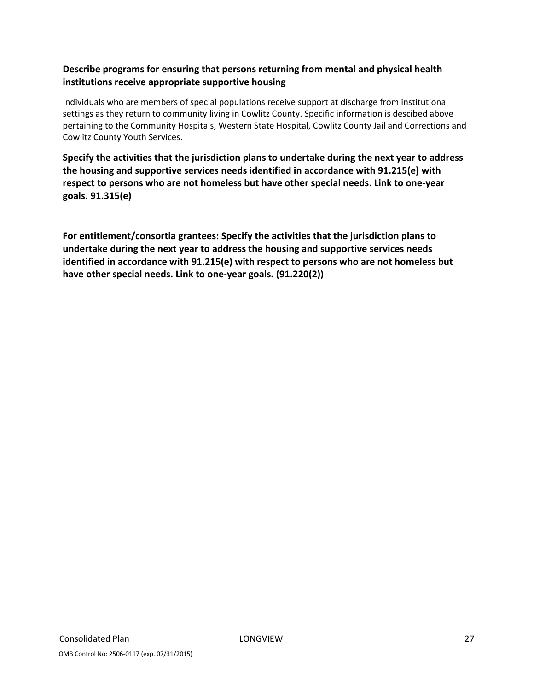## Describe programs for ensuring that persons returning from mental and physical health institutions receive appropriate supportive housing

Individuals who are members of special populations receive support at discharge from institutional settings as they return to community living in Cowlitz County. Specific information is descibed above pertaining to the Community Hospitals, Western State Hospital, Cowlitz County Jail and Corrections and Cowlitz County Youth Services.

Specify the activities that the jurisdiction plans to undertake during the next year to address the housing and supportive services needs identified in accordance with 91.215(e) with respect to persons who are not homeless but have other special needs. Link to one-year goals. 91.315(e)

For entitlement/consortia grantees: Specify the activities that the jurisdiction plans to undertake during the next year to address the housing and supportive services needs identified in accordance with 91.215(e) with respect to persons who are not homeless but have other special needs. Link to one-year goals. (91.220(2))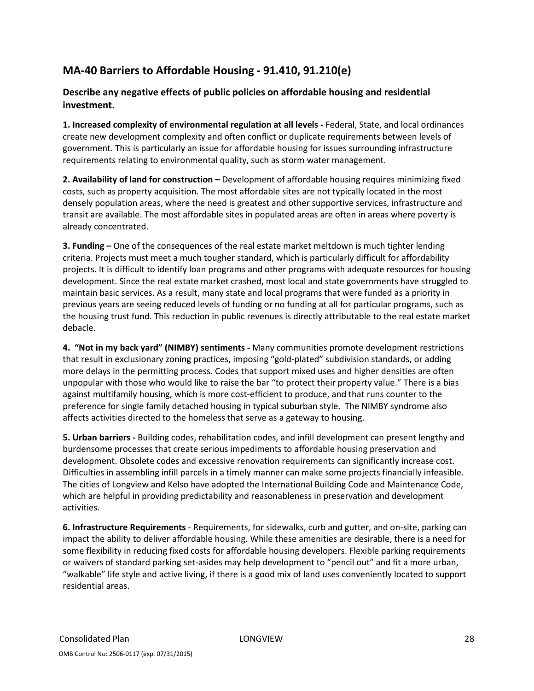# MA-40 Barriers to Affordable Housing - 91.410, 91.210(e)

## Describe any negative effects of public policies on affordable housing and residential investment.

1. Increased complexity of environmental regulation at all levels - Federal, State, and local ordinances create new development complexity and often conflict or duplicate requirements between levels of government. This is particularly an issue for affordable housing for issues surrounding infrastructure requirements relating to environmental quality, such as storm water management.

2. Availability of land for construction – Development of affordable housing requires minimizing fixed costs, such as property acquisition. The most affordable sites are not typically located in the most densely population areas, where the need is greatest and other supportive services, infrastructure and transit are available. The most affordable sites in populated areas are often in areas where poverty is already concentrated.

3. Funding – One of the consequences of the real estate market meltdown is much tighter lending criteria. Projects must meet a much tougher standard, which is particularly difficult for affordability projects. It is difficult to identify loan programs and other programs with adequate resources for housing development. Since the real estate market crashed, most local and state governments have struggled to maintain basic services. As a result, many state and local programs that were funded as a priority in previous years are seeing reduced levels of funding or no funding at all for particular programs, such as the housing trust fund. This reduction in public revenues is directly attributable to the real estate market debacle.

4. "Not in my back yard" (NIMBY) sentiments - Many communities promote development restrictions that result in exclusionary zoning practices, imposing "gold-plated" subdivision standards, or adding more delays in the permitting process. Codes that support mixed uses and higher densities are often unpopular with those who would like to raise the bar "to protect their property value." There is a bias against multifamily housing, which is more cost-efficient to produce, and that runs counter to the preference for single family detached housing in typical suburban style. The NIMBY syndrome also affects activities directed to the homeless that serve as a gateway to housing.

5. Urban barriers - Building codes, rehabilitation codes, and infill development can present lengthy and burdensome processes that create serious impediments to affordable housing preservation and development. Obsolete codes and excessive renovation requirements can significantly increase cost. Difficulties in assembling infill parcels in a timely manner can make some projects financially infeasible. The cities of Longview and Kelso have adopted the International Building Code and Maintenance Code, which are helpful in providing predictability and reasonableness in preservation and development activities.

6. Infrastructure Requirements - Requirements, for sidewalks, curb and gutter, and on-site, parking can impact the ability to deliver affordable housing. While these amenities are desirable, there is a need for some flexibility in reducing fixed costs for affordable housing developers. Flexible parking requirements or waivers of standard parking set-asides may help development to "pencil out" and fit a more urban, "walkable" life style and active living, if there is a good mix of land uses conveniently located to support residential areas.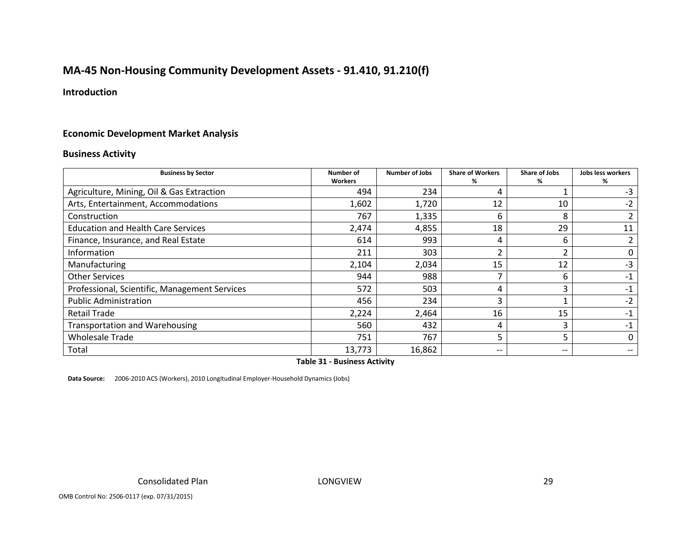# MA-45 Non-Housing Community Development Assets - 91.410, 91.210(f)

## Introduction

## Economic Development Market Analysis

#### Business Activity

| <b>Business by Sector</b>                     | Number of<br><b>Workers</b> | <b>Number of Jobs</b> | <b>Share of Workers</b><br>% | <b>Share of Jobs</b><br>% | Jobs less workers<br>%                |
|-----------------------------------------------|-----------------------------|-----------------------|------------------------------|---------------------------|---------------------------------------|
| Agriculture, Mining, Oil & Gas Extraction     | 494                         | 234                   |                              |                           | -3                                    |
| Arts, Entertainment, Accommodations           | 1,602                       | 1,720                 | 12                           | 10                        | $-2$                                  |
| Construction                                  | 767                         | 1,335                 | 6                            | 8                         |                                       |
| <b>Education and Health Care Services</b>     | 2,474                       | 4,855                 | 18                           | 29                        | 11                                    |
| Finance, Insurance, and Real Estate           | 614                         | 993                   | 4                            | 6                         |                                       |
| Information                                   | 211                         | 303                   |                              |                           |                                       |
| Manufacturing                                 | 2,104                       | 2,034                 | 15                           | 12                        | $-3$                                  |
| <b>Other Services</b>                         | 944                         | 988                   |                              | 6                         | $-1$                                  |
| Professional, Scientific, Management Services | 572                         | 503                   | 4                            |                           | -1                                    |
| <b>Public Administration</b>                  | 456                         | 234                   | 3                            |                           | $-2$                                  |
| <b>Retail Trade</b>                           | 2,224                       | 2,464                 | 16                           | 15                        | -1                                    |
| <b>Transportation and Warehousing</b>         | 560                         | 432                   | 4                            | 3                         | $-1$                                  |
| <b>Wholesale Trade</b>                        | 751                         | 767                   | 5                            |                           |                                       |
| Total                                         | 13,773                      | 16,862                | --                           | $- -$                     | $\hspace{0.05cm}$ – $\hspace{0.05cm}$ |

Table 31 - Business Activity

Data Source: 2006-2010 ACS (Workers), 2010 Longitudinal Employer-Household Dynamics (Jobs)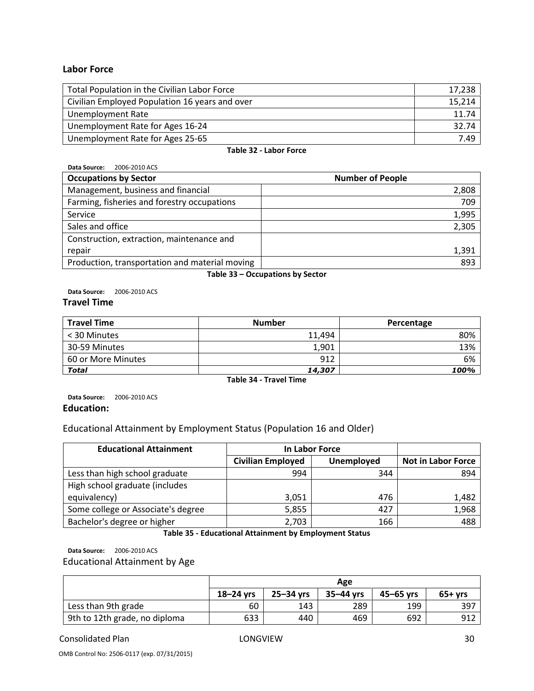#### Labor Force

| Total Population in the Civilian Labor Force   | 17,238 |
|------------------------------------------------|--------|
| Civilian Employed Population 16 years and over | 15,214 |
| <b>Unemployment Rate</b>                       | 11.74  |
| Unemployment Rate for Ages 16-24               | 32.74  |
| Unemployment Rate for Ages 25-65               | 7.49   |

#### Table 32 - Labor Force

Data Source: 2006-2010 ACS

| <b>Occupations by Sector</b>                   | <b>Number of People</b> |
|------------------------------------------------|-------------------------|
| Management, business and financial             | 2,808                   |
| Farming, fisheries and forestry occupations    | 709                     |
| Service                                        | 1,995                   |
| Sales and office                               | 2,305                   |
| Construction, extraction, maintenance and      |                         |
| repair                                         | 1,391                   |
| Production, transportation and material moving | 893                     |

Table 33 – Occupations by Sector

Data Source: 2006-2010 ACS

#### Travel Time

| <b>Travel Time</b> | <b>Number</b> | Percentage |
|--------------------|---------------|------------|
| < 30 Minutes       | 11.494        | 80%        |
| 30-59 Minutes      | 1,901         | 13%        |
| 60 or More Minutes | 912           | 6%         |
| <b>Total</b>       | 14,307        | 100%       |

Table 34 - Travel Time

Data Source: 2006-2010 ACS Education:

## Educational Attainment by Employment Status (Population 16 and Older)

| <b>Educational Attainment</b>      | In Labor Force           |            |                           |
|------------------------------------|--------------------------|------------|---------------------------|
|                                    | <b>Civilian Employed</b> | Unemployed | <b>Not in Labor Force</b> |
| Less than high school graduate     | 994                      | 344        | 894                       |
| High school graduate (includes     |                          |            |                           |
| equivalency)                       | 3,051                    | 476        | 1,482                     |
| Some college or Associate's degree | 5,855                    | 427        | 1,968                     |
| Bachelor's degree or higher        | 2,703                    | 166        | 488                       |

Table 35 - Educational Attainment by Employment Status

Data Source: 2006-2010 ACS

Educational Attainment by Age

|                               | Age           |               |             |               |          |
|-------------------------------|---------------|---------------|-------------|---------------|----------|
|                               | $18 - 24$ vrs | $25 - 34$ vrs | $35-44$ vrs | $45 - 65$ vrs | $65+yrs$ |
| Less than 9th grade           | 60            | 143           | 289         | 199           | 397      |
| 9th to 12th grade, no diploma | 633           | 440           | 469         | 692           | 912      |

Consolidated Plan LONGVIEW 30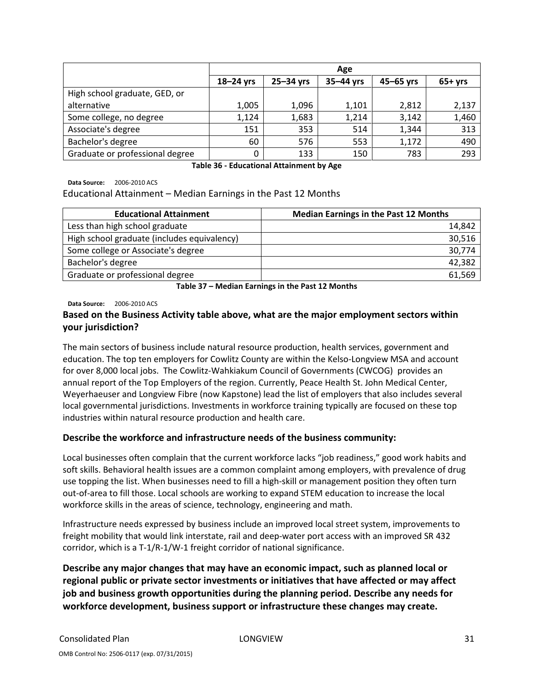|                                 | Age           |           |           |               |          |
|---------------------------------|---------------|-----------|-----------|---------------|----------|
|                                 | $18 - 24$ yrs | 25-34 yrs | 35-44 yrs | $45 - 65$ yrs | $65+yrs$ |
| High school graduate, GED, or   |               |           |           |               |          |
| alternative                     | 1,005         | 1,096     | 1,101     | 2,812         | 2,137    |
| Some college, no degree         | 1,124         | 1,683     | 1,214     | 3,142         | 1,460    |
| Associate's degree              | 151           | 353       | 514       | 1,344         | 313      |
| Bachelor's degree               | 60            | 576       | 553       | 1,172         | 490      |
| Graduate or professional degree | 0             | 133       | 150       | 783           | 293      |

Table 36 - Educational Attainment by Age

Data Source: 2006-2010 ACS

#### Educational Attainment – Median Earnings in the Past 12 Months

| <b>Educational Attainment</b>               | <b>Median Earnings in the Past 12 Months</b> |
|---------------------------------------------|----------------------------------------------|
| Less than high school graduate              | 14,842                                       |
| High school graduate (includes equivalency) | 30,516                                       |
| Some college or Associate's degree          | 30,774                                       |
| Bachelor's degree                           | 42,382                                       |
| Graduate or professional degree             | 61,569                                       |

Table 37 – Median Earnings in the Past 12 Months

Data Source: 2006-2010 ACS

## Based on the Business Activity table above, what are the major employment sectors within your jurisdiction?

The main sectors of business include natural resource production, health services, government and education. The top ten employers for Cowlitz County are within the Kelso-Longview MSA and account for over 8,000 local jobs. The Cowlitz-Wahkiakum Council of Governments (CWCOG) provides an annual report of the Top Employers of the region. Currently, Peace Health St. John Medical Center, Weyerhaeuser and Longview Fibre (now Kapstone) lead the list of employers that also includes several local governmental jurisdictions. Investments in workforce training typically are focused on these top industries within natural resource production and health care.

## Describe the workforce and infrastructure needs of the business community:

Local businesses often complain that the current workforce lacks "job readiness," good work habits and soft skills. Behavioral health issues are a common complaint among employers, with prevalence of drug use topping the list. When businesses need to fill a high-skill or management position they often turn out-of-area to fill those. Local schools are working to expand STEM education to increase the local workforce skills in the areas of science, technology, engineering and math.

Infrastructure needs expressed by business include an improved local street system, improvements to freight mobility that would link interstate, rail and deep-water port access with an improved SR 432 corridor, which is a T-1/R-1/W-1 freight corridor of national significance.

Describe any major changes that may have an economic impact, such as planned local or regional public or private sector investments or initiatives that have affected or may affect job and business growth opportunities during the planning period. Describe any needs for workforce development, business support or infrastructure these changes may create.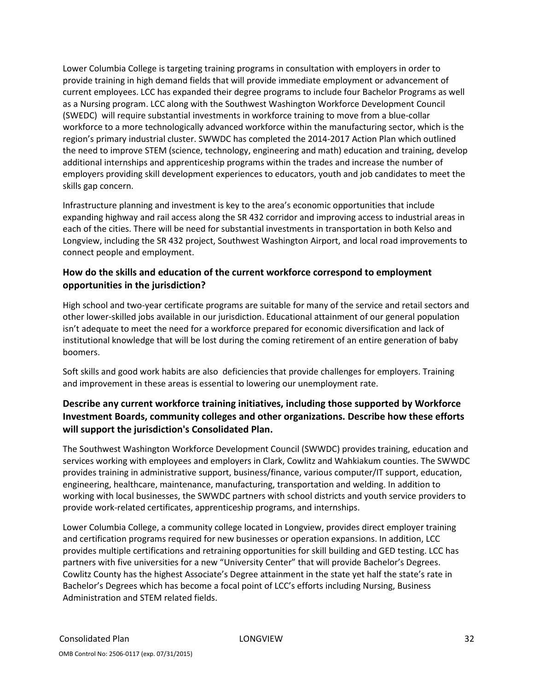Lower Columbia College is targeting training programs in consultation with employers in order to provide training in high demand fields that will provide immediate employment or advancement of current employees. LCC has expanded their degree programs to include four Bachelor Programs as well as a Nursing program. LCC along with the Southwest Washington Workforce Development Council (SWEDC) will require substantial investments in workforce training to move from a blue-collar workforce to a more technologically advanced workforce within the manufacturing sector, which is the region's primary industrial cluster. SWWDC has completed the 2014-2017 Action Plan which outlined the need to improve STEM (science, technology, engineering and math) education and training, develop additional internships and apprenticeship programs within the trades and increase the number of employers providing skill development experiences to educators, youth and job candidates to meet the skills gap concern.

Infrastructure planning and investment is key to the area's economic opportunities that include expanding highway and rail access along the SR 432 corridor and improving access to industrial areas in each of the cities. There will be need for substantial investments in transportation in both Kelso and Longview, including the SR 432 project, Southwest Washington Airport, and local road improvements to connect people and employment.

## How do the skills and education of the current workforce correspond to employment opportunities in the jurisdiction?

High school and two-year certificate programs are suitable for many of the service and retail sectors and other lower-skilled jobs available in our jurisdiction. Educational attainment of our general population isn't adequate to meet the need for a workforce prepared for economic diversification and lack of institutional knowledge that will be lost during the coming retirement of an entire generation of baby boomers.

Soft skills and good work habits are also deficiencies that provide challenges for employers. Training and improvement in these areas is essential to lowering our unemployment rate.

## Describe any current workforce training initiatives, including those supported by Workforce Investment Boards, community colleges and other organizations. Describe how these efforts will support the jurisdiction's Consolidated Plan.

The Southwest Washington Workforce Development Council (SWWDC) provides training, education and services working with employees and employers in Clark, Cowlitz and Wahkiakum counties. The SWWDC provides training in administrative support, business/finance, various computer/IT support, education, engineering, healthcare, maintenance, manufacturing, transportation and welding. In addition to working with local businesses, the SWWDC partners with school districts and youth service providers to provide work-related certificates, apprenticeship programs, and internships.

Lower Columbia College, a community college located in Longview, provides direct employer training and certification programs required for new businesses or operation expansions. In addition, LCC provides multiple certifications and retraining opportunities for skill building and GED testing. LCC has partners with five universities for a new "University Center" that will provide Bachelor's Degrees. Cowlitz County has the highest Associate's Degree attainment in the state yet half the state's rate in Bachelor's Degrees which has become a focal point of LCC's efforts including Nursing, Business Administration and STEM related fields.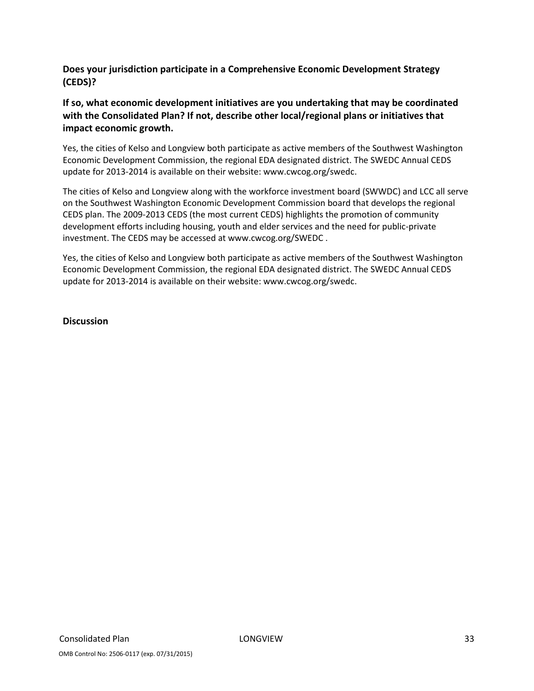## Does your jurisdiction participate in a Comprehensive Economic Development Strategy (CEDS)?

## If so, what economic development initiatives are you undertaking that may be coordinated with the Consolidated Plan? If not, describe other local/regional plans or initiatives that impact economic growth.

Yes, the cities of Kelso and Longview both participate as active members of the Southwest Washington Economic Development Commission, the regional EDA designated district. The SWEDC Annual CEDS update for 2013-2014 is available on their website: www.cwcog.org/swedc.

The cities of Kelso and Longview along with the workforce investment board (SWWDC) and LCC all serve on the Southwest Washington Economic Development Commission board that develops the regional CEDS plan. The 2009-2013 CEDS (the most current CEDS) highlights the promotion of community development efforts including housing, youth and elder services and the need for public-private investment. The CEDS may be accessed at www.cwcog.org/SWEDC .

Yes, the cities of Kelso and Longview both participate as active members of the Southwest Washington Economic Development Commission, the regional EDA designated district. The SWEDC Annual CEDS update for 2013-2014 is available on their website: www.cwcog.org/swedc.

**Discussion**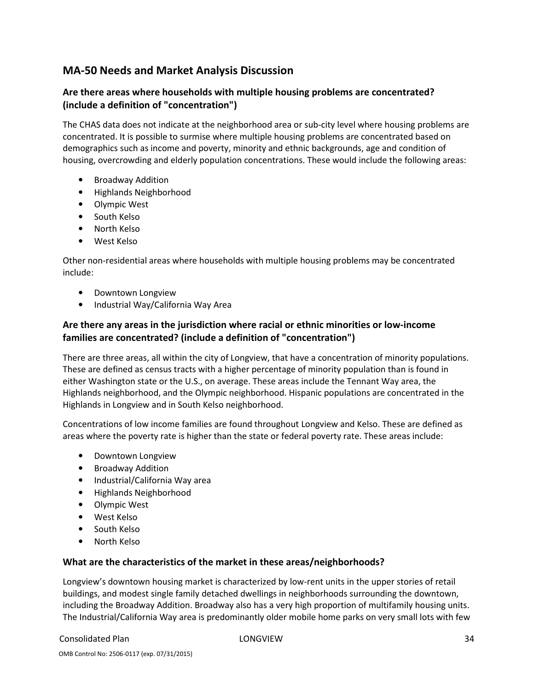# MA-50 Needs and Market Analysis Discussion

## Are there areas where households with multiple housing problems are concentrated? (include a definition of "concentration")

The CHAS data does not indicate at the neighborhood area or sub-city level where housing problems are concentrated. It is possible to surmise where multiple housing problems are concentrated based on demographics such as income and poverty, minority and ethnic backgrounds, age and condition of housing, overcrowding and elderly population concentrations. These would include the following areas:

- Broadway Addition
- Highlands Neighborhood
- Olympic West
- South Kelso
- North Kelso
- West Kelso

Other non-residential areas where households with multiple housing problems may be concentrated include:

- Downtown Longview
- Industrial Way/California Way Area

## Are there any areas in the jurisdiction where racial or ethnic minorities or low-income families are concentrated? (include a definition of "concentration")

There are three areas, all within the city of Longview, that have a concentration of minority populations. These are defined as census tracts with a higher percentage of minority population than is found in either Washington state or the U.S., on average. These areas include the Tennant Way area, the Highlands neighborhood, and the Olympic neighborhood. Hispanic populations are concentrated in the Highlands in Longview and in South Kelso neighborhood.

Concentrations of low income families are found throughout Longview and Kelso. These are defined as areas where the poverty rate is higher than the state or federal poverty rate. These areas include:

- Downtown Longview
- Broadway Addition
- Industrial/California Way area
- Highlands Neighborhood
- Olympic West
- West Kelso
- South Kelso
- North Kelso

#### What are the characteristics of the market in these areas/neighborhoods?

Longview's downtown housing market is characterized by low-rent units in the upper stories of retail buildings, and modest single family detached dwellings in neighborhoods surrounding the downtown, including the Broadway Addition. Broadway also has a very high proportion of multifamily housing units. The Industrial/California Way area is predominantly older mobile home parks on very small lots with few

Consolidated Plan LONGVIEW 34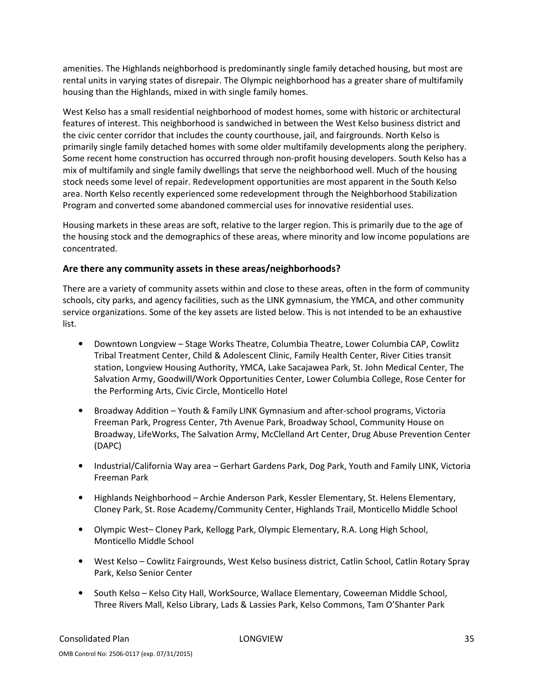amenities. The Highlands neighborhood is predominantly single family detached housing, but most are rental units in varying states of disrepair. The Olympic neighborhood has a greater share of multifamily housing than the Highlands, mixed in with single family homes.

West Kelso has a small residential neighborhood of modest homes, some with historic or architectural features of interest. This neighborhood is sandwiched in between the West Kelso business district and the civic center corridor that includes the county courthouse, jail, and fairgrounds. North Kelso is primarily single family detached homes with some older multifamily developments along the periphery. Some recent home construction has occurred through non-profit housing developers. South Kelso has a mix of multifamily and single family dwellings that serve the neighborhood well. Much of the housing stock needs some level of repair. Redevelopment opportunities are most apparent in the South Kelso area. North Kelso recently experienced some redevelopment through the Neighborhood Stabilization Program and converted some abandoned commercial uses for innovative residential uses.

Housing markets in these areas are soft, relative to the larger region. This is primarily due to the age of the housing stock and the demographics of these areas, where minority and low income populations are concentrated.

## Are there any community assets in these areas/neighborhoods?

There are a variety of community assets within and close to these areas, often in the form of community schools, city parks, and agency facilities, such as the LINK gymnasium, the YMCA, and other community service organizations. Some of the key assets are listed below. This is not intended to be an exhaustive list.

- Downtown Longview Stage Works Theatre, Columbia Theatre, Lower Columbia CAP, Cowlitz Tribal Treatment Center, Child & Adolescent Clinic, Family Health Center, River Cities transit station, Longview Housing Authority, YMCA, Lake Sacajawea Park, St. John Medical Center, The Salvation Army, Goodwill/Work Opportunities Center, Lower Columbia College, Rose Center for the Performing Arts, Civic Circle, Monticello Hotel
- Broadway Addition Youth & Family LINK Gymnasium and after-school programs, Victoria Freeman Park, Progress Center, 7th Avenue Park, Broadway School, Community House on Broadway, LifeWorks, The Salvation Army, McClelland Art Center, Drug Abuse Prevention Center (DAPC)
- Industrial/California Way area Gerhart Gardens Park, Dog Park, Youth and Family LINK, Victoria Freeman Park
- Highlands Neighborhood Archie Anderson Park, Kessler Elementary, St. Helens Elementary, Cloney Park, St. Rose Academy/Community Center, Highlands Trail, Monticello Middle School
- Olympic West– Cloney Park, Kellogg Park, Olympic Elementary, R.A. Long High School, Monticello Middle School
- West Kelso Cowlitz Fairgrounds, West Kelso business district, Catlin School, Catlin Rotary Spray Park, Kelso Senior Center
- South Kelso Kelso City Hall, WorkSource, Wallace Elementary, Coweeman Middle School, Three Rivers Mall, Kelso Library, Lads & Lassies Park, Kelso Commons, Tam O'Shanter Park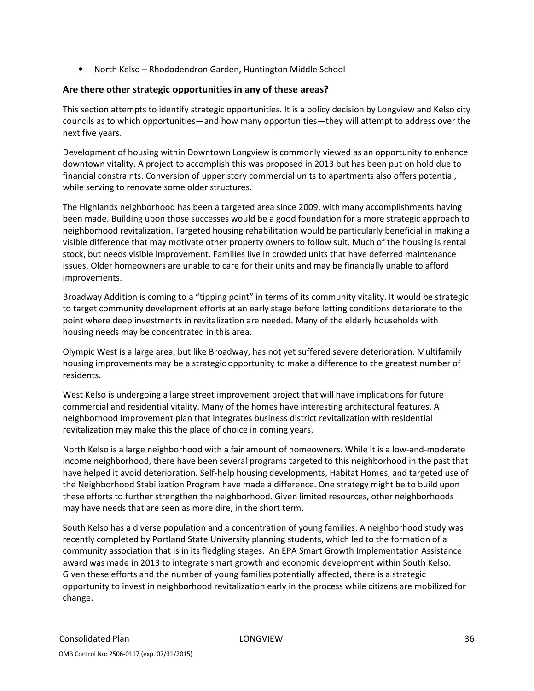• North Kelso – Rhododendron Garden, Huntington Middle School

## Are there other strategic opportunities in any of these areas?

This section attempts to identify strategic opportunities. It is a policy decision by Longview and Kelso city councils as to which opportunities—and how many opportunities—they will attempt to address over the next five years.

Development of housing within Downtown Longview is commonly viewed as an opportunity to enhance downtown vitality. A project to accomplish this was proposed in 2013 but has been put on hold due to financial constraints. Conversion of upper story commercial units to apartments also offers potential, while serving to renovate some older structures.

The Highlands neighborhood has been a targeted area since 2009, with many accomplishments having been made. Building upon those successes would be a good foundation for a more strategic approach to neighborhood revitalization. Targeted housing rehabilitation would be particularly beneficial in making a visible difference that may motivate other property owners to follow suit. Much of the housing is rental stock, but needs visible improvement. Families live in crowded units that have deferred maintenance issues. Older homeowners are unable to care for their units and may be financially unable to afford improvements.

Broadway Addition is coming to a "tipping point" in terms of its community vitality. It would be strategic to target community development efforts at an early stage before letting conditions deteriorate to the point where deep investments in revitalization are needed. Many of the elderly households with housing needs may be concentrated in this area.

Olympic West is a large area, but like Broadway, has not yet suffered severe deterioration. Multifamily housing improvements may be a strategic opportunity to make a difference to the greatest number of residents.

West Kelso is undergoing a large street improvement project that will have implications for future commercial and residential vitality. Many of the homes have interesting architectural features. A neighborhood improvement plan that integrates business district revitalization with residential revitalization may make this the place of choice in coming years.

North Kelso is a large neighborhood with a fair amount of homeowners. While it is a low-and-moderate income neighborhood, there have been several programs targeted to this neighborhood in the past that have helped it avoid deterioration. Self-help housing developments, Habitat Homes, and targeted use of the Neighborhood Stabilization Program have made a difference. One strategy might be to build upon these efforts to further strengthen the neighborhood. Given limited resources, other neighborhoods may have needs that are seen as more dire, in the short term.

South Kelso has a diverse population and a concentration of young families. A neighborhood study was recently completed by Portland State University planning students, which led to the formation of a community association that is in its fledgling stages. An EPA Smart Growth Implementation Assistance award was made in 2013 to integrate smart growth and economic development within South Kelso. Given these efforts and the number of young families potentially affected, there is a strategic opportunity to invest in neighborhood revitalization early in the process while citizens are mobilized for change.